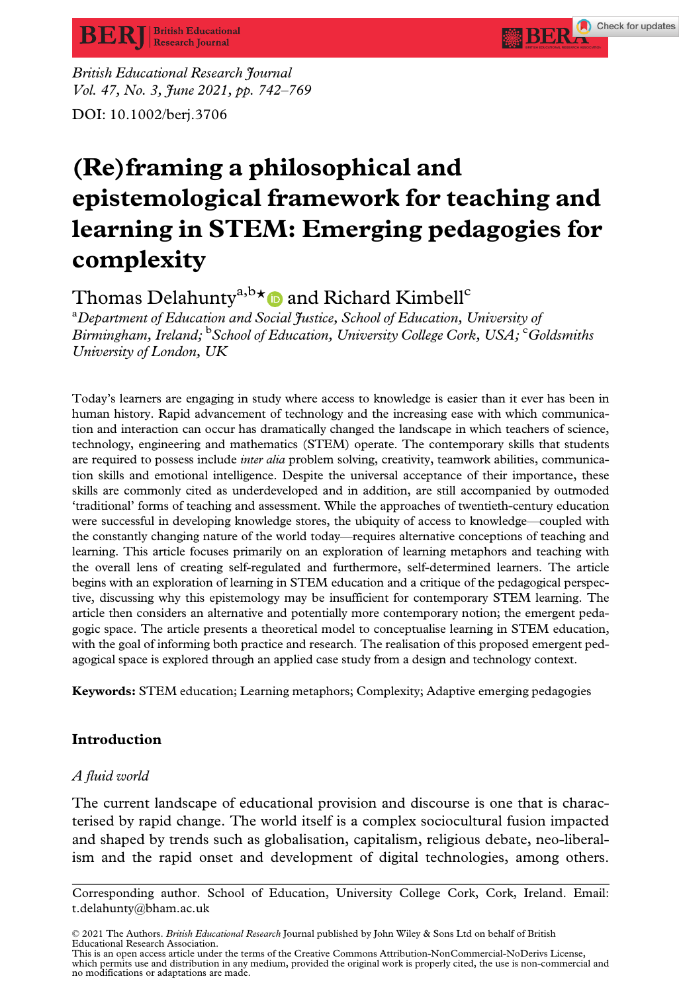British Educational Research Journal Vol. 47, No. 3, June 2021, pp. 742-769

# DOI: 10.1002/berj.3706

# (Re)framing a philosophical and epistemological framework for teaching and learning in STEM: Emerging pedagogies for complexity

**BERA** Check for updates

# Thomas Delahunty<sup>a,b $\star$ </sup> and Richard Kimbell<sup>c</sup>

<sup>a</sup>Department of Education and Social Justice, School of Education, University of Birmingham, Ireland; <sup>b</sup> School of Education, University College Cork, USA; Coldsmiths University of London, UK

Today's learners are engaging in study where access to knowledge is easier than it ever has been in human history. Rapid advancement of technology and the increasing ease with which communication and interaction can occur has dramatically changed the landscape in which teachers of science, technology, engineering and mathematics (STEM) operate. The contemporary skills that students are required to possess include *inter alia* problem solving, creativity, teamwork abilities, communication skills and emotional intelligence. Despite the universal acceptance of their importance, these skills are commonly cited as underdeveloped and in addition, are still accompanied by outmoded 'traditional' forms of teaching and assessment. While the approaches of twentieth-century education were successful in developing knowledge stores, the ubiquity of access to knowledge—coupled with the constantly changing nature of the world today—requires alternative conceptions of teaching and learning. This article focuses primarily on an exploration of learning metaphors and teaching with the overall lens of creating self-regulated and furthermore, self-determined learners. The article begins with an exploration of learning in STEM education and a critique of the pedagogical perspective, discussing why this epistemology may be insufficient for contemporary STEM learning. The article then considers an alternative and potentially more contemporary notion; the emergent pedagogic space. The article presents a theoretical model to conceptualise learning in STEM education, with the goal of informing both practice and research. The realisation of this proposed emergent pedagogical space is explored through an applied case study from a design and technology context.

Keywords: STEM education; Learning metaphors; Complexity; Adaptive emerging pedagogies

# Introduction

# A fluid world

The current landscape of educational provision and discourse is one that is characterised by rapid change. The world itself is a complex sociocultural fusion impacted and shaped by trends such as globalisation, capitalism, religious debate, neo-liberalism and the rapid onset and development of digital technologies, among others.

Corresponding author. School of Education, University College Cork, Cork, Ireland. Email: [t.delahunty@bham.ac.uk](mailto:)

<sup>© 2021</sup> The Authors. British Educational Research Journal published by John Wiley & Sons Ltd on behalf of British Educational Research Association.

This is an open access article under the terms of the [Creative Commons Attribution-NonCommercial-NoDerivs](http://creativecommons.org/licenses/by-nc-nd/4.0/) License, which permits use and distribution in any medium, provided the original work is properly cited, the use is non-commercial and no modifications or adaptations are made.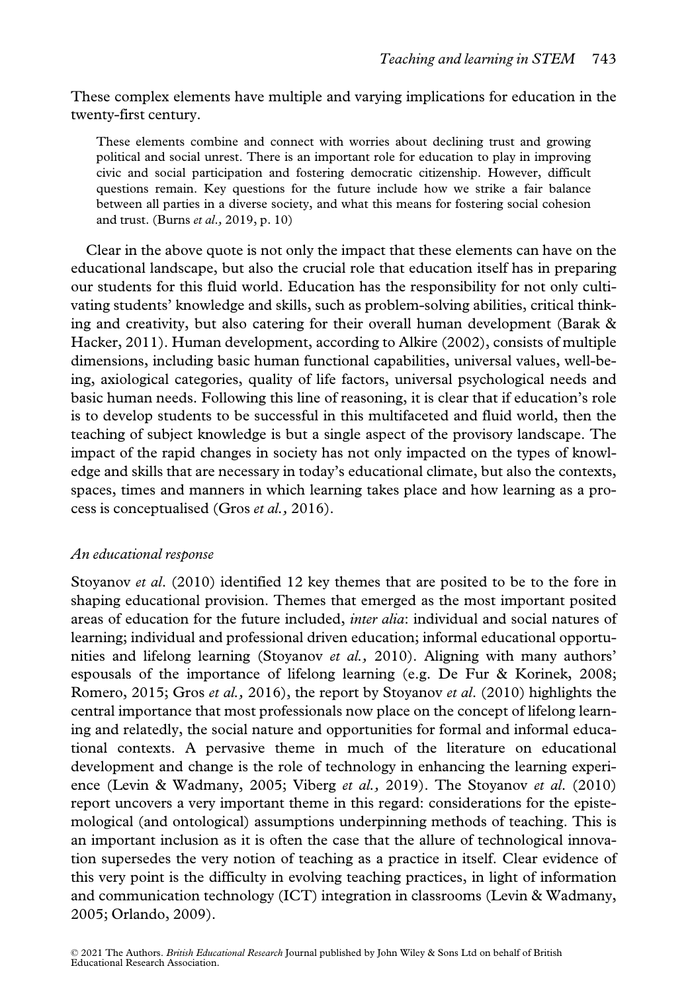These complex elements have multiple and varying implications for education in the twenty-first century.

These elements combine and connect with worries about declining trust and growing political and social unrest. There is an important role for education to play in improving civic and social participation and fostering democratic citizenship. However, difficult questions remain. Key questions for the future include how we strike a fair balance between all parties in a diverse society, and what this means for fostering social cohesion and trust. (Burns et al., 2019, p. 10)

Clear in the above quote is not only the impact that these elements can have on the educational landscape, but also the crucial role that education itself has in preparing our students for this fluid world. Education has the responsibility for not only cultivating students' knowledge and skills, such as problem-solving abilities, critical thinking and creativity, but also catering for their overall human development (Barak & Hacker, 2011). Human development, according to Alkire (2002), consists of multiple dimensions, including basic human functional capabilities, universal values, well-being, axiological categories, quality of life factors, universal psychological needs and basic human needs. Following this line of reasoning, it is clear that if education's role is to develop students to be successful in this multifaceted and fluid world, then the teaching of subject knowledge is but a single aspect of the provisory landscape. The impact of the rapid changes in society has not only impacted on the types of knowledge and skills that are necessary in today's educational climate, but also the contexts, spaces, times and manners in which learning takes place and how learning as a process is conceptualised (Gros et al., 2016).

# An educational response

Stoyanov *et al.* (2010) identified 12 key themes that are posited to be to the fore in shaping educational provision. Themes that emerged as the most important posited areas of education for the future included, *inter alia*: individual and social natures of learning; individual and professional driven education; informal educational opportunities and lifelong learning (Stoyanov et al., 2010). Aligning with many authors' espousals of the importance of lifelong learning (e.g. De Fur & Korinek, 2008; Romero, 2015; Gros et al., 2016), the report by Stoyanov et al. (2010) highlights the central importance that most professionals now place on the concept of lifelong learning and relatedly, the social nature and opportunities for formal and informal educational contexts. A pervasive theme in much of the literature on educational development and change is the role of technology in enhancing the learning experience (Levin & Wadmany, 2005; Viberg et al., 2019). The Stoyanov et al. (2010) report uncovers a very important theme in this regard: considerations for the epistemological (and ontological) assumptions underpinning methods of teaching. This is an important inclusion as it is often the case that the allure of technological innovation supersedes the very notion of teaching as a practice in itself. Clear evidence of this very point is the difficulty in evolving teaching practices, in light of information and communication technology (ICT) integration in classrooms (Levin & Wadmany, 2005; Orlando, 2009).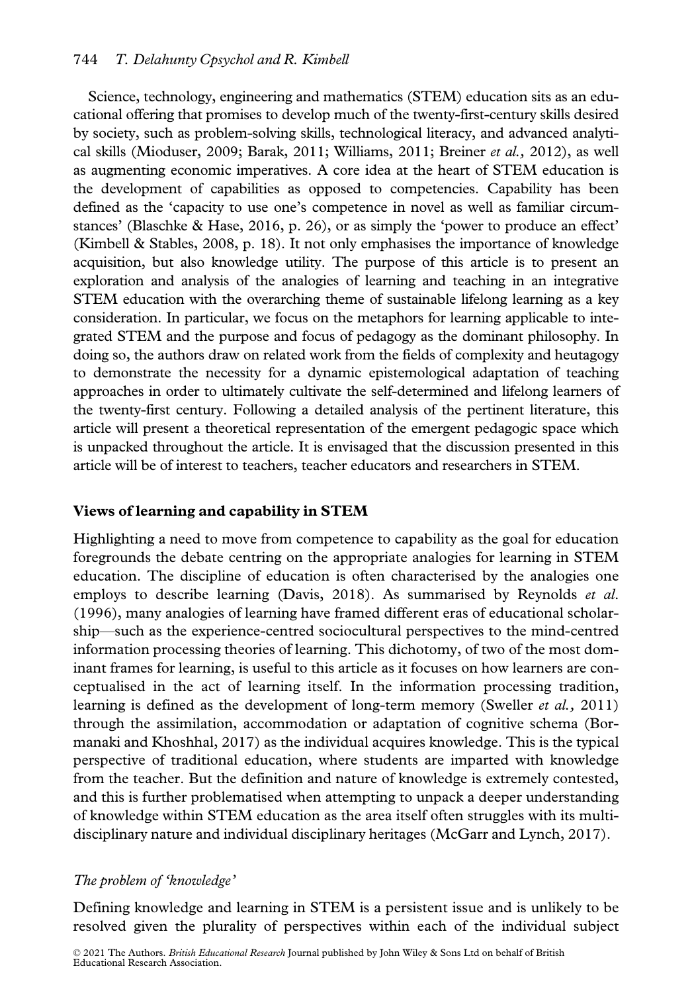Science, technology, engineering and mathematics (STEM) education sits as an educational offering that promises to develop much of the twenty-first-century skills desired by society, such as problem-solving skills, technological literacy, and advanced analytical skills (Mioduser, 2009; Barak, 2011; Williams, 2011; Breiner et al., 2012), as well as augmenting economic imperatives. A core idea at the heart of STEM education is the development of capabilities as opposed to competencies. Capability has been defined as the 'capacity to use one's competence in novel as well as familiar circumstances' (Blaschke & Hase, 2016, p. 26), or as simply the 'power to produce an effect' (Kimbell & Stables, 2008, p. 18). It not only emphasises the importance of knowledge acquisition, but also knowledge utility. The purpose of this article is to present an exploration and analysis of the analogies of learning and teaching in an integrative STEM education with the overarching theme of sustainable lifelong learning as a key consideration. In particular, we focus on the metaphors for learning applicable to integrated STEM and the purpose and focus of pedagogy as the dominant philosophy. In doing so, the authors draw on related work from the fields of complexity and heutagogy to demonstrate the necessity for a dynamic epistemological adaptation of teaching approaches in order to ultimately cultivate the self-determined and lifelong learners of the twenty-first century. Following a detailed analysis of the pertinent literature, this article will present a theoretical representation of the emergent pedagogic space which is unpacked throughout the article. It is envisaged that the discussion presented in this article will be of interest to teachers, teacher educators and researchers in STEM.

# Views of learning and capability in STEM

Highlighting a need to move from competence to capability as the goal for education foregrounds the debate centring on the appropriate analogies for learning in STEM education. The discipline of education is often characterised by the analogies one employs to describe learning (Davis, 2018). As summarised by Reynolds et al. (1996), many analogies of learning have framed different eras of educational scholarship—such as the experience-centred sociocultural perspectives to the mind-centred information processing theories of learning. This dichotomy, of two of the most dominant frames for learning, is useful to this article as it focuses on how learners are conceptualised in the act of learning itself. In the information processing tradition, learning is defined as the development of long-term memory (Sweller et al., 2011) through the assimilation, accommodation or adaptation of cognitive schema (Bormanaki and Khoshhal, 2017) as the individual acquires knowledge. This is the typical perspective of traditional education, where students are imparted with knowledge from the teacher. But the definition and nature of knowledge is extremely contested, and this is further problematised when attempting to unpack a deeper understanding of knowledge within STEM education as the area itself often struggles with its multidisciplinary nature and individual disciplinary heritages (McGarr and Lynch, 2017).

# The problem of 'knowledge'

Defining knowledge and learning in STEM is a persistent issue and is unlikely to be resolved given the plurality of perspectives within each of the individual subject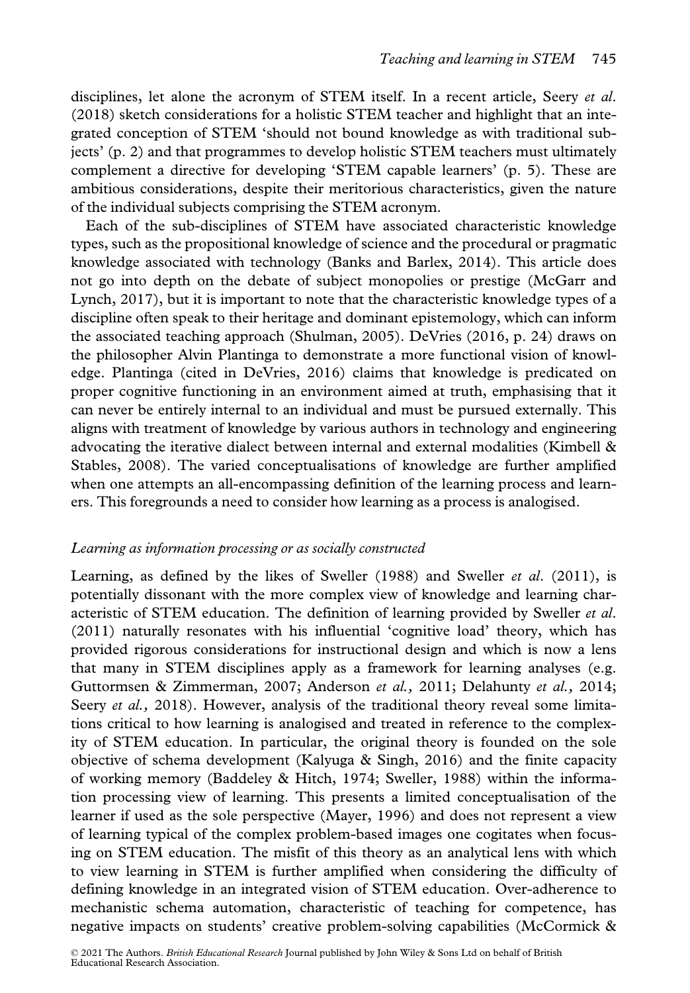disciplines, let alone the acronym of STEM itself. In a recent article, Seery et al. (2018) sketch considerations for a holistic STEM teacher and highlight that an integrated conception of STEM 'should not bound knowledge as with traditional subjects' (p. 2) and that programmes to develop holistic STEM teachers must ultimately complement a directive for developing 'STEM capable learners' (p. 5). These are ambitious considerations, despite their meritorious characteristics, given the nature of the individual subjects comprising the STEM acronym.

Each of the sub-disciplines of STEM have associated characteristic knowledge types, such as the propositional knowledge of science and the procedural or pragmatic knowledge associated with technology (Banks and Barlex, 2014). This article does not go into depth on the debate of subject monopolies or prestige (McGarr and Lynch, 2017), but it is important to note that the characteristic knowledge types of a discipline often speak to their heritage and dominant epistemology, which can inform the associated teaching approach (Shulman, 2005). DeVries (2016, p. 24) draws on the philosopher Alvin Plantinga to demonstrate a more functional vision of knowledge. Plantinga (cited in DeVries, 2016) claims that knowledge is predicated on proper cognitive functioning in an environment aimed at truth, emphasising that it can never be entirely internal to an individual and must be pursued externally. This aligns with treatment of knowledge by various authors in technology and engineering advocating the iterative dialect between internal and external modalities (Kimbell & Stables, 2008). The varied conceptualisations of knowledge are further amplified when one attempts an all-encompassing definition of the learning process and learners. This foregrounds a need to consider how learning as a process is analogised.

# Learning as information processing or as socially constructed

Learning, as defined by the likes of Sweller (1988) and Sweller *et al.* (2011), is potentially dissonant with the more complex view of knowledge and learning characteristic of STEM education. The definition of learning provided by Sweller et al. (2011) naturally resonates with his influential 'cognitive load' theory, which has provided rigorous considerations for instructional design and which is now a lens that many in STEM disciplines apply as a framework for learning analyses (e.g. Guttormsen & Zimmerman, 2007; Anderson et al., 2011; Delahunty et al., 2014; Seery et al., 2018). However, analysis of the traditional theory reveal some limitations critical to how learning is analogised and treated in reference to the complexity of STEM education. In particular, the original theory is founded on the sole objective of schema development (Kalyuga & Singh, 2016) and the finite capacity of working memory (Baddeley & Hitch, 1974; Sweller, 1988) within the information processing view of learning. This presents a limited conceptualisation of the learner if used as the sole perspective (Mayer, 1996) and does not represent a view of learning typical of the complex problem-based images one cogitates when focusing on STEM education. The misfit of this theory as an analytical lens with which to view learning in STEM is further amplified when considering the difficulty of defining knowledge in an integrated vision of STEM education. Over-adherence to mechanistic schema automation, characteristic of teaching for competence, has negative impacts on students' creative problem-solving capabilities (McCormick &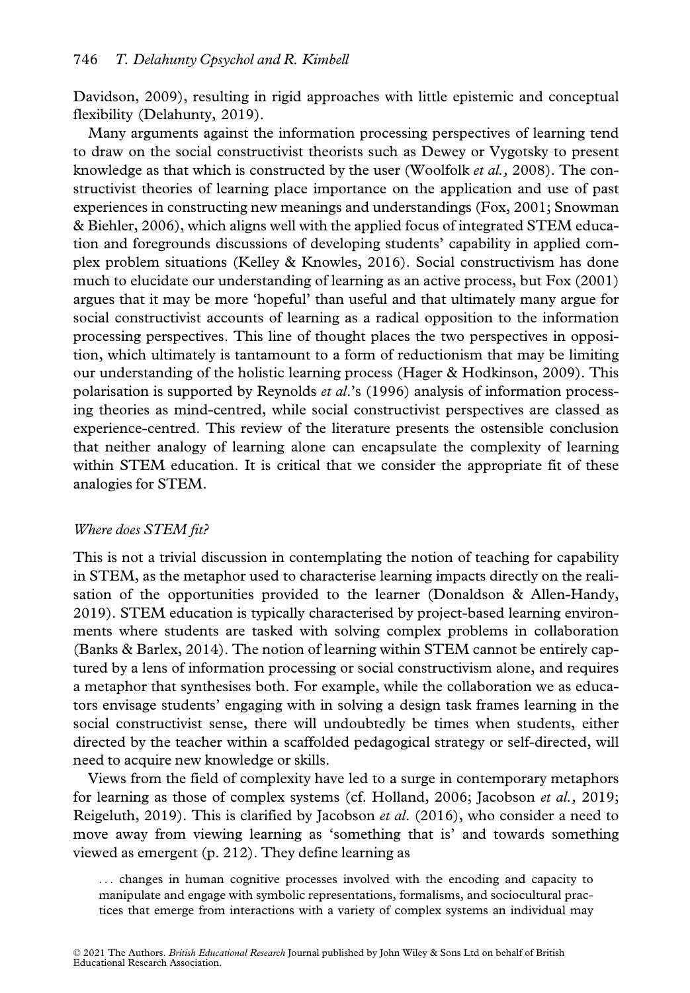Davidson, 2009), resulting in rigid approaches with little epistemic and conceptual flexibility (Delahunty, 2019).

Many arguments against the information processing perspectives of learning tend to draw on the social constructivist theorists such as Dewey or Vygotsky to present knowledge as that which is constructed by the user (Woolfolk *et al.*, 2008). The constructivist theories of learning place importance on the application and use of past experiences in constructing new meanings and understandings (Fox, 2001; Snowman & Biehler, 2006), which aligns well with the applied focus of integrated STEM education and foregrounds discussions of developing students' capability in applied complex problem situations (Kelley & Knowles, 2016). Social constructivism has done much to elucidate our understanding of learning as an active process, but Fox (2001) argues that it may be more 'hopeful' than useful and that ultimately many argue for social constructivist accounts of learning as a radical opposition to the information processing perspectives. This line of thought places the two perspectives in opposition, which ultimately is tantamount to a form of reductionism that may be limiting our understanding of the holistic learning process (Hager & Hodkinson, 2009). This polarisation is supported by Reynolds et al.'s (1996) analysis of information processing theories as mind-centred, while social constructivist perspectives are classed as experience-centred. This review of the literature presents the ostensible conclusion that neither analogy of learning alone can encapsulate the complexity of learning within STEM education. It is critical that we consider the appropriate fit of these analogies for STEM.

# Where does STEM fit?

This is not a trivial discussion in contemplating the notion of teaching for capability in STEM, as the metaphor used to characterise learning impacts directly on the realisation of the opportunities provided to the learner (Donaldson & Allen-Handy, 2019). STEM education is typically characterised by project-based learning environments where students are tasked with solving complex problems in collaboration (Banks & Barlex, 2014). The notion of learning within STEM cannot be entirely captured by a lens of information processing or social constructivism alone, and requires a metaphor that synthesises both. For example, while the collaboration we as educators envisage students' engaging with in solving a design task frames learning in the social constructivist sense, there will undoubtedly be times when students, either directed by the teacher within a scaffolded pedagogical strategy or self-directed, will need to acquire new knowledge or skills.

Views from the field of complexity have led to a surge in contemporary metaphors for learning as those of complex systems (cf. Holland, 2006; Jacobson et al., 2019; Reigeluth, 2019). This is clarified by Jacobson et al. (2016), who consider a need to move away from viewing learning as 'something that is' and towards something viewed as emergent (p. 212). They define learning as

... changes in human cognitive processes involved with the encoding and capacity to manipulate and engage with symbolic representations, formalisms, and sociocultural practices that emerge from interactions with a variety of complex systems an individual may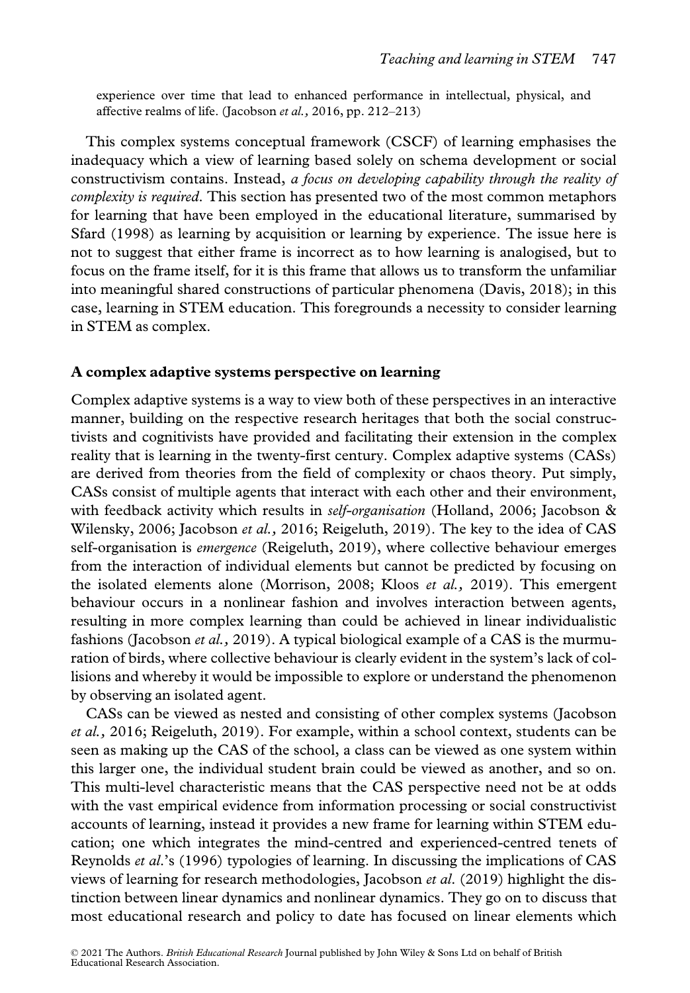experience over time that lead to enhanced performance in intellectual, physical, and affective realms of life. (Jacobson et al., 2016, pp. 212–213)

This complex systems conceptual framework (CSCF) of learning emphasises the inadequacy which a view of learning based solely on schema development or social constructivism contains. Instead, a focus on developing capability through the reality of complexity is required. This section has presented two of the most common metaphors for learning that have been employed in the educational literature, summarised by Sfard (1998) as learning by acquisition or learning by experience. The issue here is not to suggest that either frame is incorrect as to how learning is analogised, but to focus on the frame itself, for it is this frame that allows us to transform the unfamiliar into meaningful shared constructions of particular phenomena (Davis, 2018); in this case, learning in STEM education. This foregrounds a necessity to consider learning in STEM as complex.

#### A complex adaptive systems perspective on learning

Complex adaptive systems is a way to view both of these perspectives in an interactive manner, building on the respective research heritages that both the social constructivists and cognitivists have provided and facilitating their extension in the complex reality that is learning in the twenty-first century. Complex adaptive systems (CASs) are derived from theories from the field of complexity or chaos theory. Put simply, CASs consist of multiple agents that interact with each other and their environment, with feedback activity which results in *self-organisation* (Holland, 2006; Jacobson & Wilensky, 2006; Jacobson et al., 2016; Reigeluth, 2019). The key to the idea of CAS self-organisation is *emergence* (Reigeluth, 2019), where collective behaviour emerges from the interaction of individual elements but cannot be predicted by focusing on the isolated elements alone (Morrison, 2008; Kloos et al., 2019). This emergent behaviour occurs in a nonlinear fashion and involves interaction between agents, resulting in more complex learning than could be achieved in linear individualistic fashions (Jacobson et al., 2019). A typical biological example of a CAS is the murmuration of birds, where collective behaviour is clearly evident in the system's lack of collisions and whereby it would be impossible to explore or understand the phenomenon by observing an isolated agent.

CASs can be viewed as nested and consisting of other complex systems (Jacobson et al., 2016; Reigeluth, 2019). For example, within a school context, students can be seen as making up the CAS of the school, a class can be viewed as one system within this larger one, the individual student brain could be viewed as another, and so on. This multi-level characteristic means that the CAS perspective need not be at odds with the vast empirical evidence from information processing or social constructivist accounts of learning, instead it provides a new frame for learning within STEM education; one which integrates the mind-centred and experienced-centred tenets of Reynolds *et al.*'s (1996) typologies of learning. In discussing the implications of CAS views of learning for research methodologies, Jacobson *et al.* (2019) highlight the distinction between linear dynamics and nonlinear dynamics. They go on to discuss that most educational research and policy to date has focused on linear elements which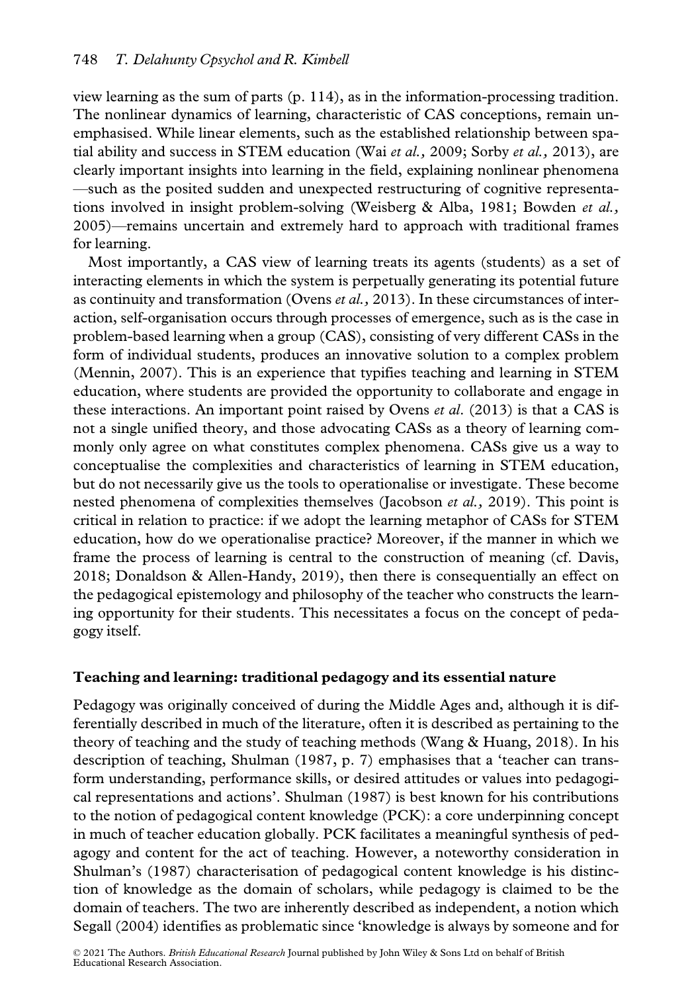view learning as the sum of parts (p. 114), as in the information-processing tradition. The nonlinear dynamics of learning, characteristic of CAS conceptions, remain unemphasised. While linear elements, such as the established relationship between spatial ability and success in STEM education (Wai et al., 2009; Sorby et al., 2013), are clearly important insights into learning in the field, explaining nonlinear phenomena —such as the posited sudden and unexpected restructuring of cognitive representations involved in insight problem-solving (Weisberg & Alba, 1981; Bowden *et al.*, 2005)—remains uncertain and extremely hard to approach with traditional frames for learning.

Most importantly, a CAS view of learning treats its agents (students) as a set of interacting elements in which the system is perpetually generating its potential future as continuity and transformation (Ovens *et al.*, 2013). In these circumstances of interaction, self-organisation occurs through processes of emergence, such as is the case in problem-based learning when a group (CAS), consisting of very different CASs in the form of individual students, produces an innovative solution to a complex problem (Mennin, 2007). This is an experience that typifies teaching and learning in STEM education, where students are provided the opportunity to collaborate and engage in these interactions. An important point raised by Ovens *et al.* (2013) is that a CAS is not a single unified theory, and those advocating CASs as a theory of learning commonly only agree on what constitutes complex phenomena. CASs give us a way to conceptualise the complexities and characteristics of learning in STEM education, but do not necessarily give us the tools to operationalise or investigate. These become nested phenomena of complexities themselves (Jacobson et al., 2019). This point is critical in relation to practice: if we adopt the learning metaphor of CASs for STEM education, how do we operationalise practice? Moreover, if the manner in which we frame the process of learning is central to the construction of meaning (cf. Davis, 2018; Donaldson & Allen-Handy, 2019), then there is consequentially an effect on the pedagogical epistemology and philosophy of the teacher who constructs the learning opportunity for their students. This necessitates a focus on the concept of pedagogy itself.

# Teaching and learning: traditional pedagogy and its essential nature

Pedagogy was originally conceived of during the Middle Ages and, although it is differentially described in much of the literature, often it is described as pertaining to the theory of teaching and the study of teaching methods (Wang & Huang, 2018). In his description of teaching, Shulman (1987, p. 7) emphasises that a 'teacher can transform understanding, performance skills, or desired attitudes or values into pedagogical representations and actions'. Shulman (1987) is best known for his contributions to the notion of pedagogical content knowledge (PCK): a core underpinning concept in much of teacher education globally. PCK facilitates a meaningful synthesis of pedagogy and content for the act of teaching. However, a noteworthy consideration in Shulman's (1987) characterisation of pedagogical content knowledge is his distinction of knowledge as the domain of scholars, while pedagogy is claimed to be the domain of teachers. The two are inherently described as independent, a notion which Segall (2004) identifies as problematic since 'knowledge is always by someone and for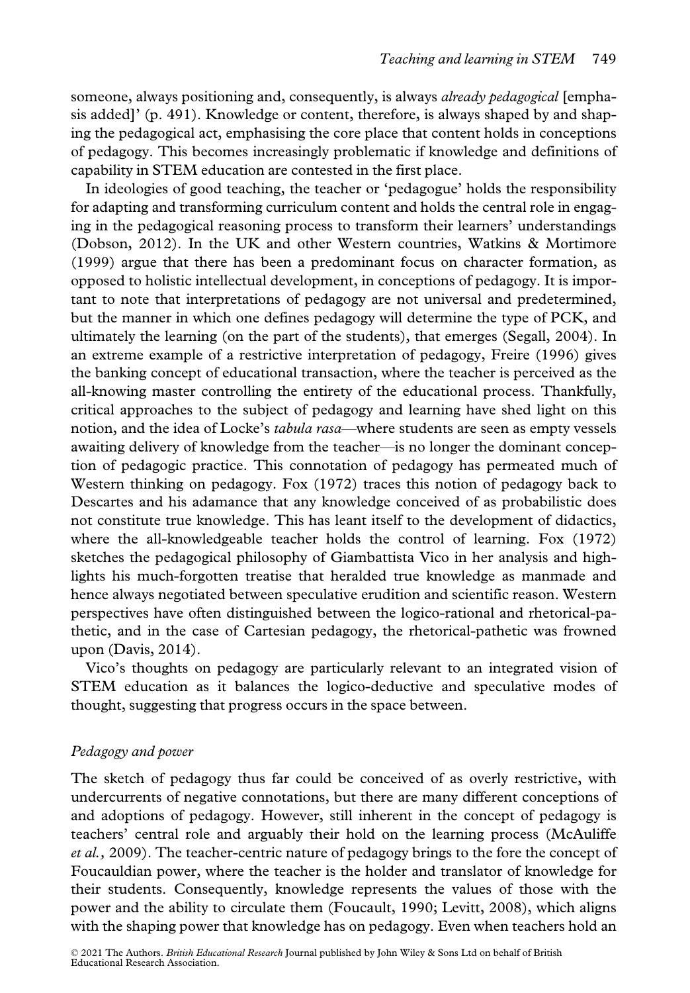someone, always positioning and, consequently, is always *already pedagogical* [emphasis added]' (p. 491). Knowledge or content, therefore, is always shaped by and shaping the pedagogical act, emphasising the core place that content holds in conceptions of pedagogy. This becomes increasingly problematic if knowledge and definitions of capability in STEM education are contested in the first place.

In ideologies of good teaching, the teacher or 'pedagogue' holds the responsibility for adapting and transforming curriculum content and holds the central role in engaging in the pedagogical reasoning process to transform their learners' understandings (Dobson, 2012). In the UK and other Western countries, Watkins & Mortimore (1999) argue that there has been a predominant focus on character formation, as opposed to holistic intellectual development, in conceptions of pedagogy. It is important to note that interpretations of pedagogy are not universal and predetermined, but the manner in which one defines pedagogy will determine the type of PCK, and ultimately the learning (on the part of the students), that emerges (Segall, 2004). In an extreme example of a restrictive interpretation of pedagogy, Freire (1996) gives the banking concept of educational transaction, where the teacher is perceived as the all-knowing master controlling the entirety of the educational process. Thankfully, critical approaches to the subject of pedagogy and learning have shed light on this notion, and the idea of Locke's tabula rasa—where students are seen as empty vessels awaiting delivery of knowledge from the teacher—is no longer the dominant conception of pedagogic practice. This connotation of pedagogy has permeated much of Western thinking on pedagogy. Fox (1972) traces this notion of pedagogy back to Descartes and his adamance that any knowledge conceived of as probabilistic does not constitute true knowledge. This has leant itself to the development of didactics, where the all-knowledgeable teacher holds the control of learning. Fox (1972) sketches the pedagogical philosophy of Giambattista Vico in her analysis and highlights his much-forgotten treatise that heralded true knowledge as manmade and hence always negotiated between speculative erudition and scientific reason. Western perspectives have often distinguished between the logico-rational and rhetorical-pathetic, and in the case of Cartesian pedagogy, the rhetorical-pathetic was frowned upon (Davis, 2014).

Vico's thoughts on pedagogy are particularly relevant to an integrated vision of STEM education as it balances the logico-deductive and speculative modes of thought, suggesting that progress occurs in the space between.

# Pedagogy and power

The sketch of pedagogy thus far could be conceived of as overly restrictive, with undercurrents of negative connotations, but there are many different conceptions of and adoptions of pedagogy. However, still inherent in the concept of pedagogy is teachers' central role and arguably their hold on the learning process (McAuliffe et al., 2009). The teacher-centric nature of pedagogy brings to the fore the concept of Foucauldian power, where the teacher is the holder and translator of knowledge for their students. Consequently, knowledge represents the values of those with the power and the ability to circulate them (Foucault, 1990; Levitt, 2008), which aligns with the shaping power that knowledge has on pedagogy. Even when teachers hold an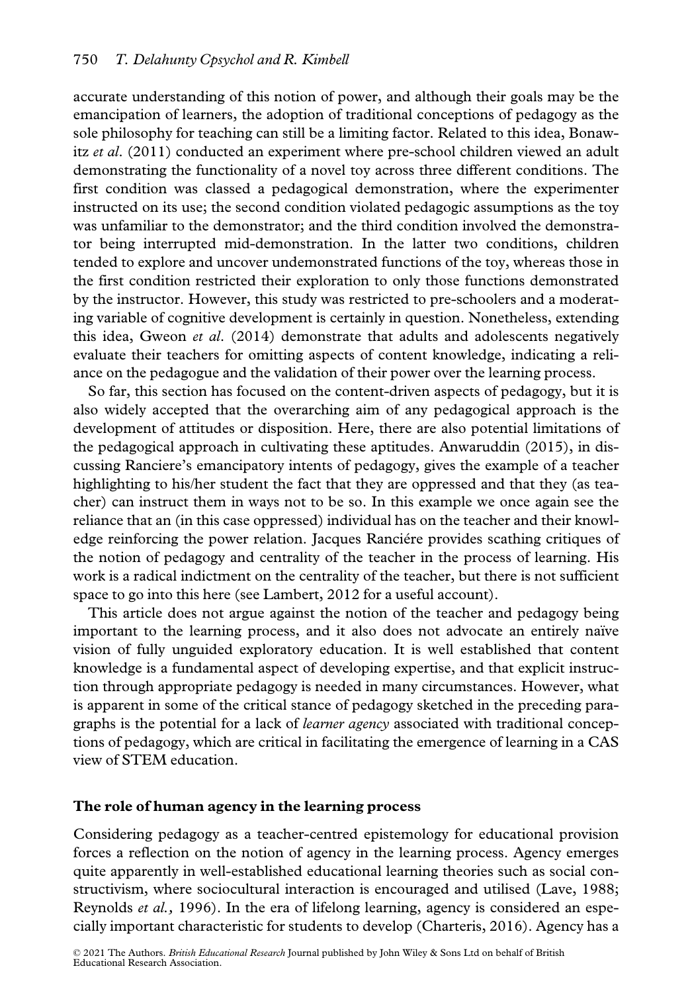accurate understanding of this notion of power, and although their goals may be the emancipation of learners, the adoption of traditional conceptions of pedagogy as the sole philosophy for teaching can still be a limiting factor. Related to this idea, Bonawitz et al.  $(2011)$  conducted an experiment where pre-school children viewed an adult demonstrating the functionality of a novel toy across three different conditions. The first condition was classed a pedagogical demonstration, where the experimenter instructed on its use; the second condition violated pedagogic assumptions as the toy was unfamiliar to the demonstrator; and the third condition involved the demonstrator being interrupted mid-demonstration. In the latter two conditions, children tended to explore and uncover undemonstrated functions of the toy, whereas those in the first condition restricted their exploration to only those functions demonstrated by the instructor. However, this study was restricted to pre-schoolers and a moderating variable of cognitive development is certainly in question. Nonetheless, extending this idea, Gweon *et al.* (2014) demonstrate that adults and adolescents negatively evaluate their teachers for omitting aspects of content knowledge, indicating a reliance on the pedagogue and the validation of their power over the learning process.

So far, this section has focused on the content-driven aspects of pedagogy, but it is also widely accepted that the overarching aim of any pedagogical approach is the development of attitudes or disposition. Here, there are also potential limitations of the pedagogical approach in cultivating these aptitudes. Anwaruddin (2015), in discussing Ranciere's emancipatory intents of pedagogy, gives the example of a teacher highlighting to his/her student the fact that they are oppressed and that they (as teacher) can instruct them in ways not to be so. In this example we once again see the reliance that an (in this case oppressed) individual has on the teacher and their knowledge reinforcing the power relation. Jacques Ranciére provides scathing critiques of the notion of pedagogy and centrality of the teacher in the process of learning. His work is a radical indictment on the centrality of the teacher, but there is not sufficient space to go into this here (see Lambert, 2012 for a useful account).

This article does not argue against the notion of the teacher and pedagogy being important to the learning process, and it also does not advocate an entirely naïve vision of fully unguided exploratory education. It is well established that content knowledge is a fundamental aspect of developing expertise, and that explicit instruction through appropriate pedagogy is needed in many circumstances. However, what is apparent in some of the critical stance of pedagogy sketched in the preceding paragraphs is the potential for a lack of learner agency associated with traditional conceptions of pedagogy, which are critical in facilitating the emergence of learning in a CAS view of STEM education.

#### The role of human agency in the learning process

Considering pedagogy as a teacher-centred epistemology for educational provision forces a reflection on the notion of agency in the learning process. Agency emerges quite apparently in well-established educational learning theories such as social constructivism, where sociocultural interaction is encouraged and utilised (Lave, 1988; Reynolds et al., 1996). In the era of lifelong learning, agency is considered an especially important characteristic for students to develop (Charteris, 2016). Agency has a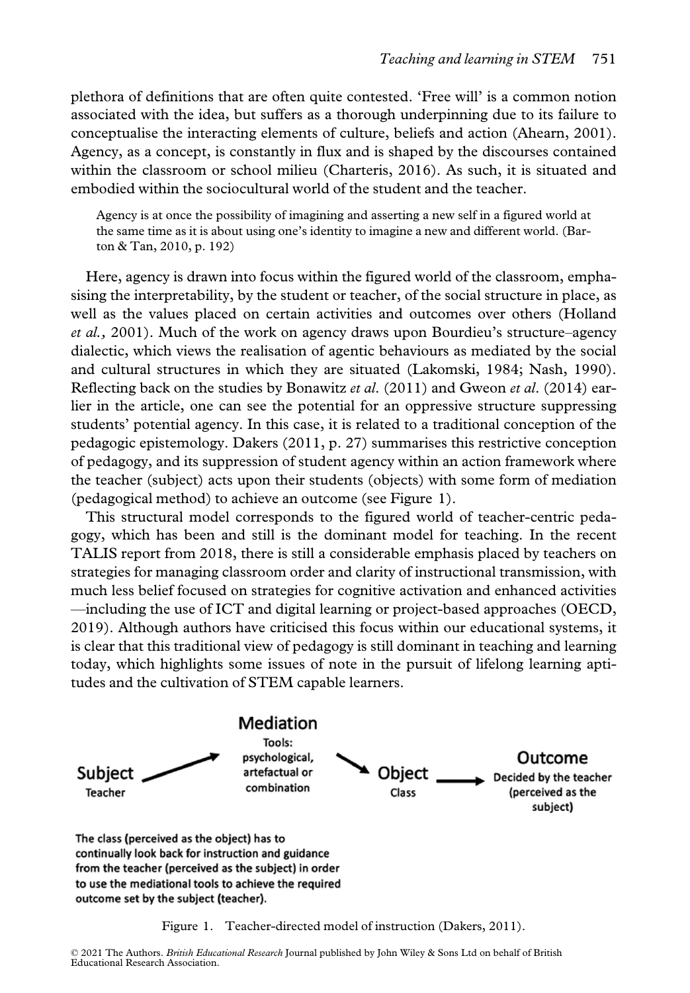plethora of definitions that are often quite contested. 'Free will' is a common notion associated with the idea, but suffers as a thorough underpinning due to its failure to conceptualise the interacting elements of culture, beliefs and action (Ahearn, 2001). Agency, as a concept, is constantly in flux and is shaped by the discourses contained within the classroom or school milieu (Charteris, 2016). As such, it is situated and embodied within the sociocultural world of the student and the teacher.

Agency is at once the possibility of imagining and asserting a new self in a figured world at the same time as it is about using one's identity to imagine a new and different world. (Barton & Tan, 2010, p. 192)

Here, agency is drawn into focus within the figured world of the classroom, emphasising the interpretability, by the student or teacher, of the social structure in place, as well as the values placed on certain activities and outcomes over others (Holland et al., 2001). Much of the work on agency draws upon Bourdieu's structure–agency dialectic, which views the realisation of agentic behaviours as mediated by the social and cultural structures in which they are situated (Lakomski, 1984; Nash, 1990). Reflecting back on the studies by Bonawitz *et al.*  $(2011)$  and Gweon *et al.*  $(2014)$  earlier in the article, one can see the potential for an oppressive structure suppressing students' potential agency. In this case, it is related to a traditional conception of the pedagogic epistemology. Dakers (2011, p. 27) summarises this restrictive conception of pedagogy, and its suppression of student agency within an action framework where the teacher (subject) acts upon their students (objects) with some form of mediation (pedagogical method) to achieve an outcome (see Figure 1).

This structural model corresponds to the figured world of teacher-centric pedagogy, which has been and still is the dominant model for teaching. In the recent TALIS report from 2018, there is still a considerable emphasis placed by teachers on strategies for managing classroom order and clarity of instructional transmission, with much less belief focused on strategies for cognitive activation and enhanced activities —including the use of ICT and digital learning or project-based approaches (OECD, 2019). Although authors have criticised this focus within our educational systems, it is clear that this traditional view of pedagogy is still dominant in teaching and learning today, which highlights some issues of note in the pursuit of lifelong learning aptitudes and the cultivation of STEM capable learners.



Figure 1. Teacher-directed model of instruction (Dakers, 2011).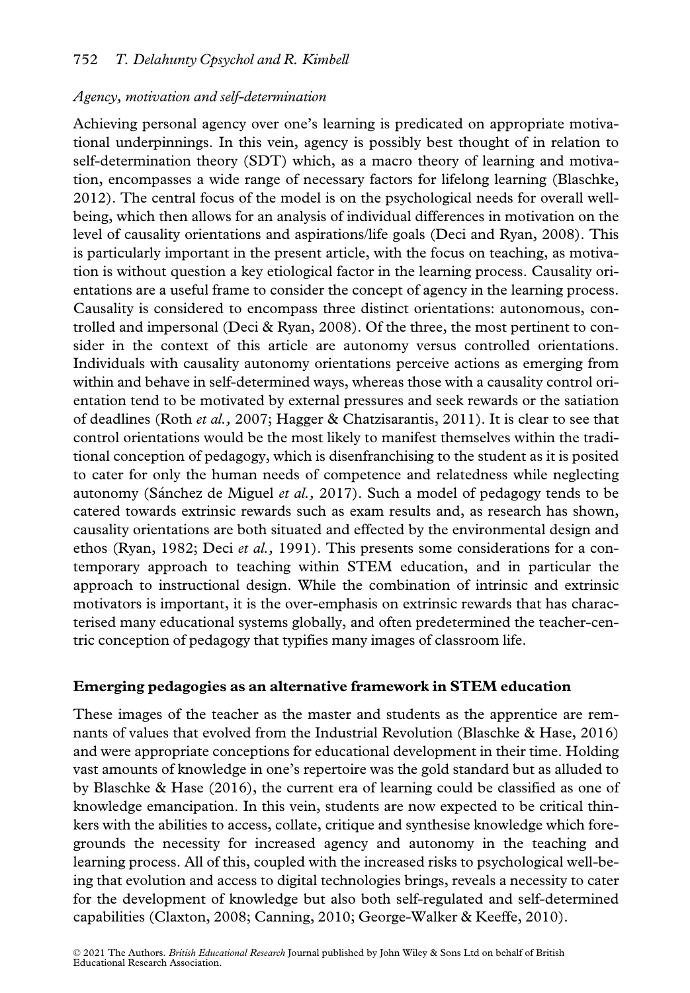# Agency, motivation and self-determination

Achieving personal agency over one's learning is predicated on appropriate motivational underpinnings. In this vein, agency is possibly best thought of in relation to self-determination theory (SDT) which, as a macro theory of learning and motivation, encompasses a wide range of necessary factors for lifelong learning (Blaschke, 2012). The central focus of the model is on the psychological needs for overall wellbeing, which then allows for an analysis of individual differences in motivation on the level of causality orientations and aspirations/life goals (Deci and Ryan, 2008). This is particularly important in the present article, with the focus on teaching, as motivation is without question a key etiological factor in the learning process. Causality orientations are a useful frame to consider the concept of agency in the learning process. Causality is considered to encompass three distinct orientations: autonomous, controlled and impersonal (Deci & Ryan, 2008). Of the three, the most pertinent to consider in the context of this article are autonomy versus controlled orientations. Individuals with causality autonomy orientations perceive actions as emerging from within and behave in self-determined ways, whereas those with a causality control orientation tend to be motivated by external pressures and seek rewards or the satiation of deadlines (Roth et al., 2007; Hagger & Chatzisarantis, 2011). It is clear to see that control orientations would be the most likely to manifest themselves within the traditional conception of pedagogy, which is disenfranchising to the student as it is posited to cater for only the human needs of competence and relatedness while neglecting autonomy (Sánchez de Miguel et al., 2017). Such a model of pedagogy tends to be catered towards extrinsic rewards such as exam results and, as research has shown, causality orientations are both situated and effected by the environmental design and ethos (Ryan, 1982; Deci et al., 1991). This presents some considerations for a contemporary approach to teaching within STEM education, and in particular the approach to instructional design. While the combination of intrinsic and extrinsic motivators is important, it is the over-emphasis on extrinsic rewards that has characterised many educational systems globally, and often predetermined the teacher-centric conception of pedagogy that typifies many images of classroom life.

# Emerging pedagogies as an alternative framework in STEM education

These images of the teacher as the master and students as the apprentice are remnants of values that evolved from the Industrial Revolution (Blaschke & Hase, 2016) and were appropriate conceptions for educational development in their time. Holding vast amounts of knowledge in one's repertoire was the gold standard but as alluded to by Blaschke & Hase (2016), the current era of learning could be classified as one of knowledge emancipation. In this vein, students are now expected to be critical thinkers with the abilities to access, collate, critique and synthesise knowledge which foregrounds the necessity for increased agency and autonomy in the teaching and learning process. All of this, coupled with the increased risks to psychological well-being that evolution and access to digital technologies brings, reveals a necessity to cater for the development of knowledge but also both self-regulated and self-determined capabilities (Claxton, 2008; Canning, 2010; George-Walker & Keeffe, 2010).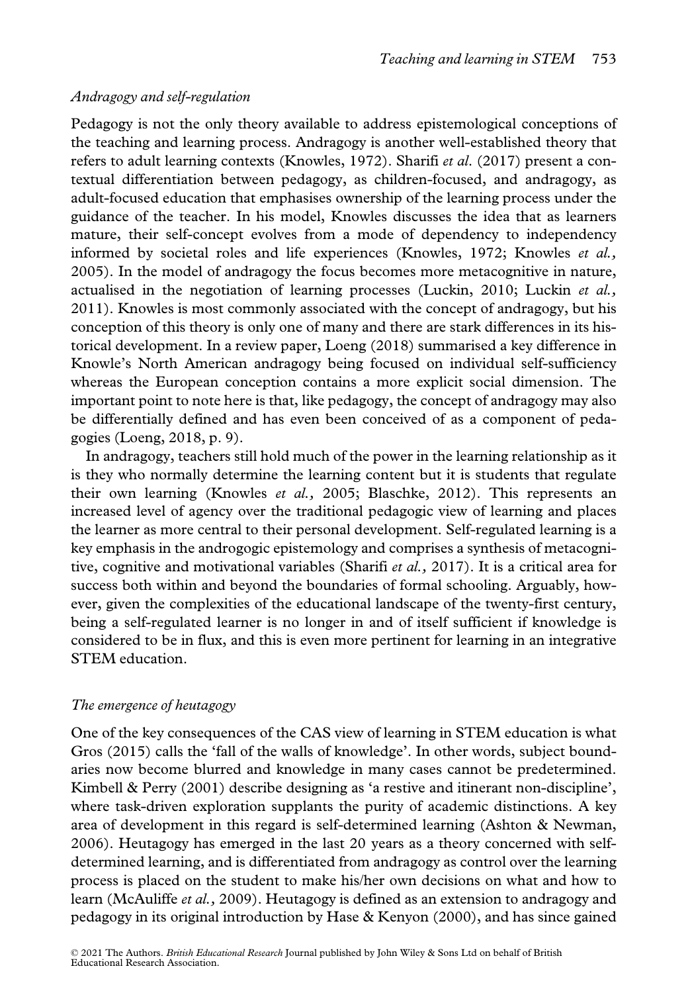# Andragogy and self-regulation

Pedagogy is not the only theory available to address epistemological conceptions of the teaching and learning process. Andragogy is another well-established theory that refers to adult learning contexts (Knowles, 1972). Sharifi et al. (2017) present a contextual differentiation between pedagogy, as children-focused, and andragogy, as adult-focused education that emphasises ownership of the learning process under the guidance of the teacher. In his model, Knowles discusses the idea that as learners mature, their self-concept evolves from a mode of dependency to independency informed by societal roles and life experiences (Knowles, 1972; Knowles et al., 2005). In the model of andragogy the focus becomes more metacognitive in nature, actualised in the negotiation of learning processes (Luckin, 2010; Luckin  $et al.,$ 2011). Knowles is most commonly associated with the concept of andragogy, but his conception of this theory is only one of many and there are stark differences in its historical development. In a review paper, Loeng (2018) summarised a key difference in Knowle's North American andragogy being focused on individual self-sufficiency whereas the European conception contains a more explicit social dimension. The important point to note here is that, like pedagogy, the concept of andragogy may also be differentially defined and has even been conceived of as a component of pedagogies (Loeng, 2018, p. 9).

In andragogy, teachers still hold much of the power in the learning relationship as it is they who normally determine the learning content but it is students that regulate their own learning (Knowles et al., 2005; Blaschke, 2012). This represents an increased level of agency over the traditional pedagogic view of learning and places the learner as more central to their personal development. Self-regulated learning is a key emphasis in the androgogic epistemology and comprises a synthesis of metacognitive, cognitive and motivational variables (Sharifi et al., 2017). It is a critical area for success both within and beyond the boundaries of formal schooling. Arguably, however, given the complexities of the educational landscape of the twenty-first century, being a self-regulated learner is no longer in and of itself sufficient if knowledge is considered to be in flux, and this is even more pertinent for learning in an integrative STEM education.

# The emergence of heutagogy

One of the key consequences of the CAS view of learning in STEM education is what Gros (2015) calls the 'fall of the walls of knowledge'. In other words, subject boundaries now become blurred and knowledge in many cases cannot be predetermined. Kimbell & Perry (2001) describe designing as 'a restive and itinerant non-discipline', where task-driven exploration supplants the purity of academic distinctions. A key area of development in this regard is self-determined learning (Ashton & Newman, 2006). Heutagogy has emerged in the last 20 years as a theory concerned with selfdetermined learning, and is differentiated from andragogy as control over the learning process is placed on the student to make his/her own decisions on what and how to learn (McAuliffe et al., 2009). Heutagogy is defined as an extension to andragogy and pedagogy in its original introduction by Hase & Kenyon (2000), and has since gained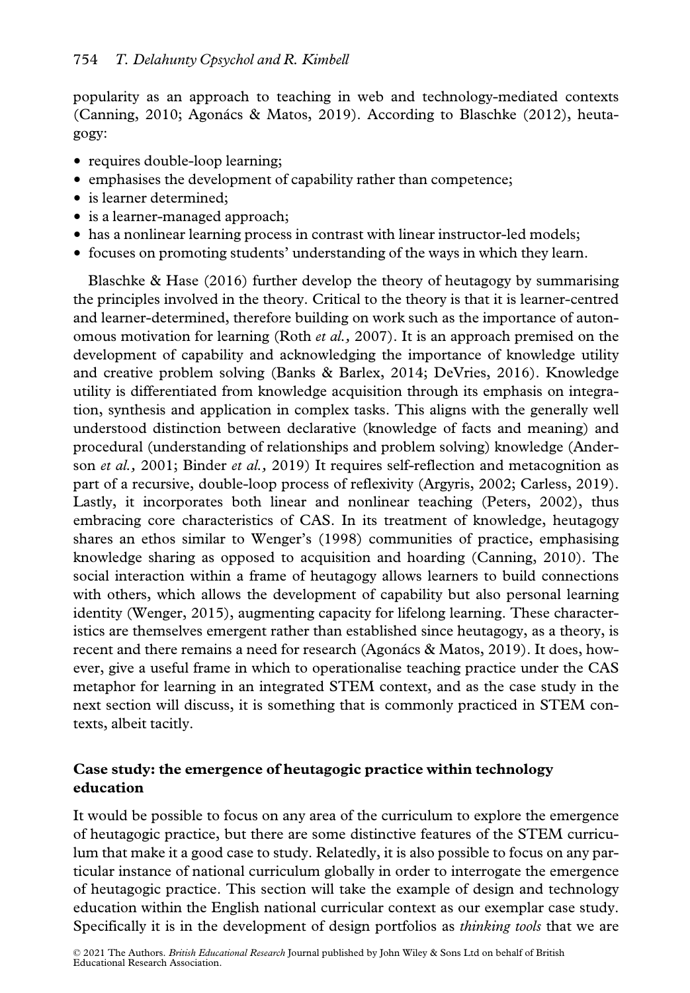popularity as an approach to teaching in web and technology-mediated contexts (Canning, 2010; Agonács & Matos, 2019). According to Blaschke (2012), heutagogy:

- requires double-loop learning;
- emphasises the development of capability rather than competence;
- is learner determined;
- is a learner-managed approach;
- has a nonlinear learning process in contrast with linear instructor-led models;
- focuses on promoting students' understanding of the ways in which they learn.

Blaschke & Hase (2016) further develop the theory of heutagogy by summarising the principles involved in the theory. Critical to the theory is that it is learner-centred and learner-determined, therefore building on work such as the importance of autonomous motivation for learning (Roth *et al.*, 2007). It is an approach premised on the development of capability and acknowledging the importance of knowledge utility and creative problem solving (Banks & Barlex, 2014; DeVries, 2016). Knowledge utility is differentiated from knowledge acquisition through its emphasis on integration, synthesis and application in complex tasks. This aligns with the generally well understood distinction between declarative (knowledge of facts and meaning) and procedural (understanding of relationships and problem solving) knowledge (Anderson et al., 2001; Binder et al., 2019) It requires self-reflection and metacognition as part of a recursive, double-loop process of reflexivity (Argyris, 2002; Carless, 2019). Lastly, it incorporates both linear and nonlinear teaching (Peters, 2002), thus embracing core characteristics of CAS. In its treatment of knowledge, heutagogy shares an ethos similar to Wenger's (1998) communities of practice, emphasising knowledge sharing as opposed to acquisition and hoarding (Canning, 2010). The social interaction within a frame of heutagogy allows learners to build connections with others, which allows the development of capability but also personal learning identity (Wenger, 2015), augmenting capacity for lifelong learning. These characteristics are themselves emergent rather than established since heutagogy, as a theory, is recent and there remains a need for research (Agonács & Matos, 2019). It does, however, give a useful frame in which to operationalise teaching practice under the CAS metaphor for learning in an integrated STEM context, and as the case study in the next section will discuss, it is something that is commonly practiced in STEM contexts, albeit tacitly.

# Case study: the emergence of heutagogic practice within technology education

It would be possible to focus on any area of the curriculum to explore the emergence of heutagogic practice, but there are some distinctive features of the STEM curriculum that make it a good case to study. Relatedly, it is also possible to focus on any particular instance of national curriculum globally in order to interrogate the emergence of heutagogic practice. This section will take the example of design and technology education within the English national curricular context as our exemplar case study. Specifically it is in the development of design portfolios as *thinking tools* that we are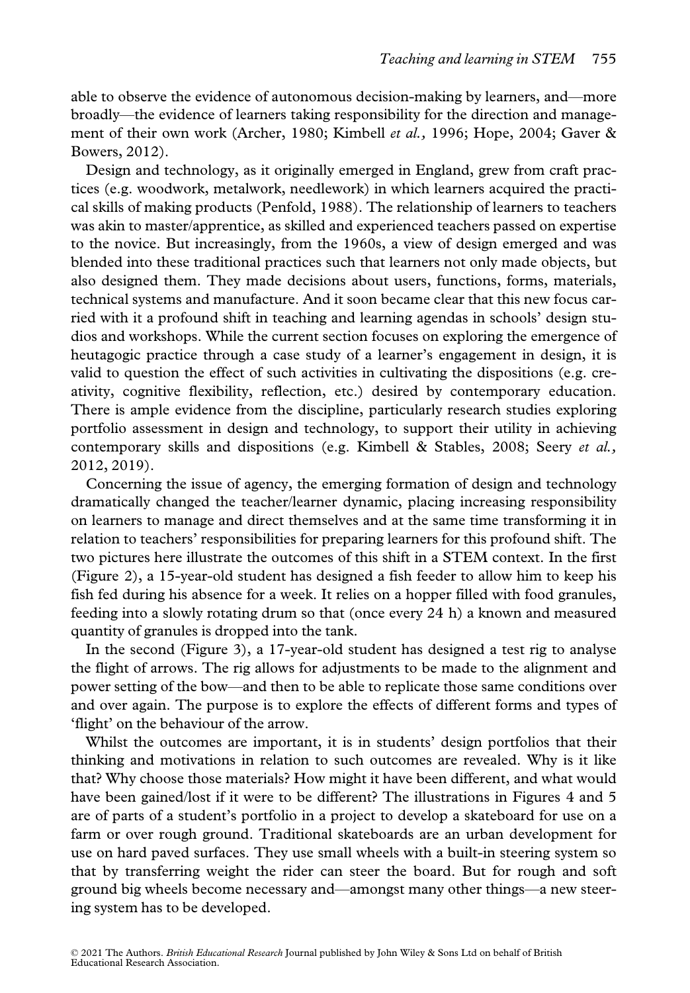able to observe the evidence of autonomous decision-making by learners, and—more broadly—the evidence of learners taking responsibility for the direction and management of their own work (Archer, 1980; Kimbell et al., 1996; Hope, 2004; Gaver & Bowers, 2012).

Design and technology, as it originally emerged in England, grew from craft practices (e.g. woodwork, metalwork, needlework) in which learners acquired the practical skills of making products (Penfold, 1988). The relationship of learners to teachers was akin to master/apprentice, as skilled and experienced teachers passed on expertise to the novice. But increasingly, from the 1960s, a view of design emerged and was blended into these traditional practices such that learners not only made objects, but also designed them. They made decisions about users, functions, forms, materials, technical systems and manufacture. And it soon became clear that this new focus carried with it a profound shift in teaching and learning agendas in schools' design studios and workshops. While the current section focuses on exploring the emergence of heutagogic practice through a case study of a learner's engagement in design, it is valid to question the effect of such activities in cultivating the dispositions (e.g. creativity, cognitive flexibility, reflection, etc.) desired by contemporary education. There is ample evidence from the discipline, particularly research studies exploring portfolio assessment in design and technology, to support their utility in achieving contemporary skills and dispositions (e.g. Kimbell & Stables, 2008; Seery et al., 2012, 2019).

Concerning the issue of agency, the emerging formation of design and technology dramatically changed the teacher/learner dynamic, placing increasing responsibility on learners to manage and direct themselves and at the same time transforming it in relation to teachers' responsibilities for preparing learners for this profound shift. The two pictures here illustrate the outcomes of this shift in a STEM context. In the first (Figure 2), a 15-year-old student has designed a fish feeder to allow him to keep his fish fed during his absence for a week. It relies on a hopper filled with food granules, feeding into a slowly rotating drum so that (once every 24 h) a known and measured quantity of granules is dropped into the tank.

In the second (Figure 3), a 17-year-old student has designed a test rig to analyse the flight of arrows. The rig allows for adjustments to be made to the alignment and power setting of the bow—and then to be able to replicate those same conditions over and over again. The purpose is to explore the effects of different forms and types of 'flight' on the behaviour of the arrow.

Whilst the outcomes are important, it is in students' design portfolios that their thinking and motivations in relation to such outcomes are revealed. Why is it like that? Why choose those materials? How might it have been different, and what would have been gained/lost if it were to be different? The illustrations in Figures 4 and 5 are of parts of a student's portfolio in a project to develop a skateboard for use on a farm or over rough ground. Traditional skateboards are an urban development for use on hard paved surfaces. They use small wheels with a built-in steering system so that by transferring weight the rider can steer the board. But for rough and soft ground big wheels become necessary and—amongst many other things—a new steering system has to be developed.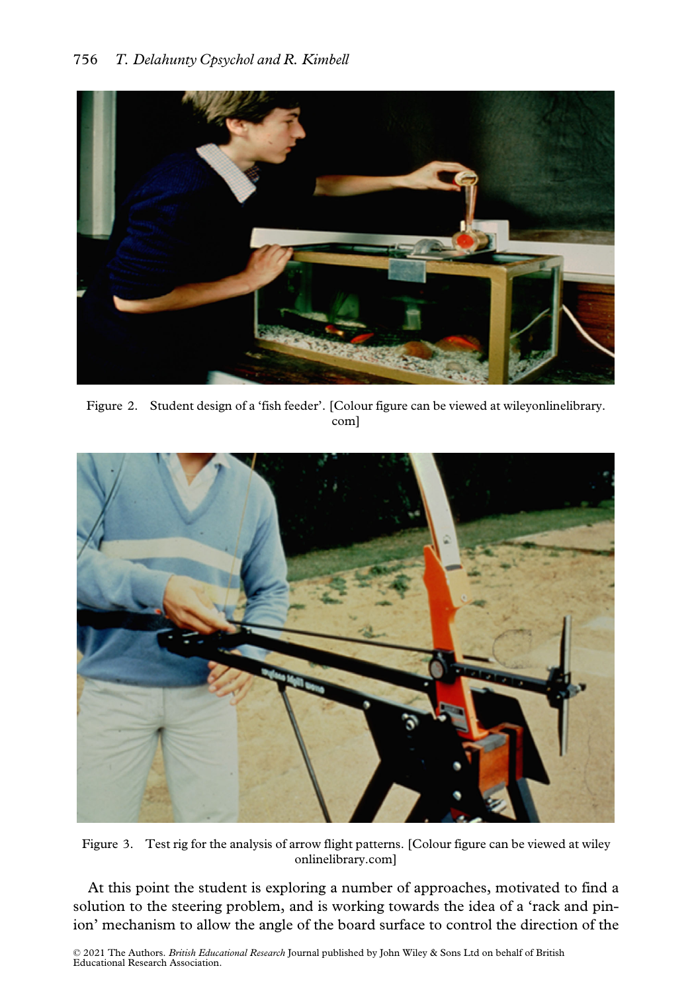

Figure 2. Student design of a 'fish feeder'. [Colour figure can be viewed at [wileyonlinelibrary.](www.wileyonlinelibrary.com) [com\]](www.wileyonlinelibrary.com)



Figure 3. Test rig for the analysis of arrow flight patterns. [Colour figure can be viewed at [wiley](www.wileyonlinelibrary.com) [onlinelibrary.com\]](www.wileyonlinelibrary.com)

At this point the student is exploring a number of approaches, motivated to find a solution to the steering problem, and is working towards the idea of a 'rack and pinion' mechanism to allow the angle of the board surface to control the direction of the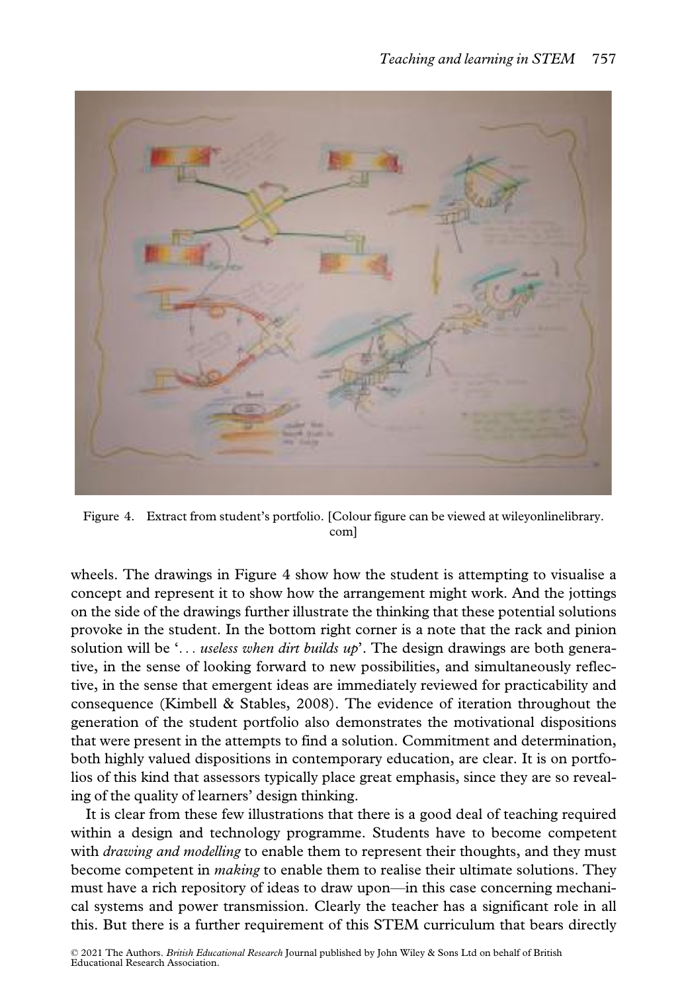

Figure 4. Extract from student's portfolio. [Colour figure can be viewed at [wileyonlinelibrary.](www.wileyonlinelibrary.com) [com](www.wileyonlinelibrary.com)]

wheels. The drawings in Figure 4 show how the student is attempting to visualise a concept and represent it to show how the arrangement might work. And the jottings on the side of the drawings further illustrate the thinking that these potential solutions provoke in the student. In the bottom right corner is a note that the rack and pinion solution will be '... useless when dirt builds  $up$ . The design drawings are both generative, in the sense of looking forward to new possibilities, and simultaneously reflective, in the sense that emergent ideas are immediately reviewed for practicability and consequence (Kimbell & Stables, 2008). The evidence of iteration throughout the generation of the student portfolio also demonstrates the motivational dispositions that were present in the attempts to find a solution. Commitment and determination, both highly valued dispositions in contemporary education, are clear. It is on portfolios of this kind that assessors typically place great emphasis, since they are so revealing of the quality of learners' design thinking.

It is clear from these few illustrations that there is a good deal of teaching required within a design and technology programme. Students have to become competent with *drawing and modelling* to enable them to represent their thoughts, and they must become competent in *making* to enable them to realise their ultimate solutions. They must have a rich repository of ideas to draw upon—in this case concerning mechanical systems and power transmission. Clearly the teacher has a significant role in all this. But there is a further requirement of this STEM curriculum that bears directly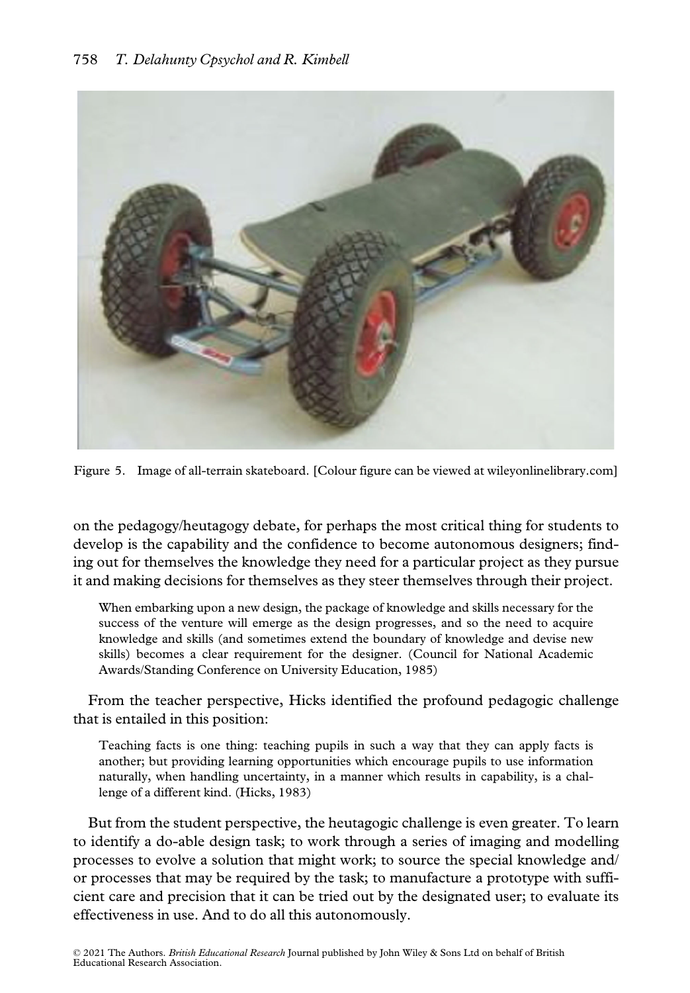

Figure 5. Image of all-terrain skateboard. [Colour figure can be viewed at [wileyonlinelibrary.com](www.wileyonlinelibrary.com)]

on the pedagogy/heutagogy debate, for perhaps the most critical thing for students to develop is the capability and the confidence to become autonomous designers; finding out for themselves the knowledge they need for a particular project as they pursue it and making decisions for themselves as they steer themselves through their project.

When embarking upon a new design, the package of knowledge and skills necessary for the success of the venture will emerge as the design progresses, and so the need to acquire knowledge and skills (and sometimes extend the boundary of knowledge and devise new skills) becomes a clear requirement for the designer. (Council for National Academic Awards/Standing Conference on University Education, 1985)

From the teacher perspective, Hicks identified the profound pedagogic challenge that is entailed in this position:

Teaching facts is one thing: teaching pupils in such a way that they can apply facts is another; but providing learning opportunities which encourage pupils to use information naturally, when handling uncertainty, in a manner which results in capability, is a challenge of a different kind. (Hicks, 1983)

But from the student perspective, the heutagogic challenge is even greater. To learn to identify a do-able design task; to work through a series of imaging and modelling processes to evolve a solution that might work; to source the special knowledge and/ or processes that may be required by the task; to manufacture a prototype with sufficient care and precision that it can be tried out by the designated user; to evaluate its effectiveness in use. And to do all this autonomously.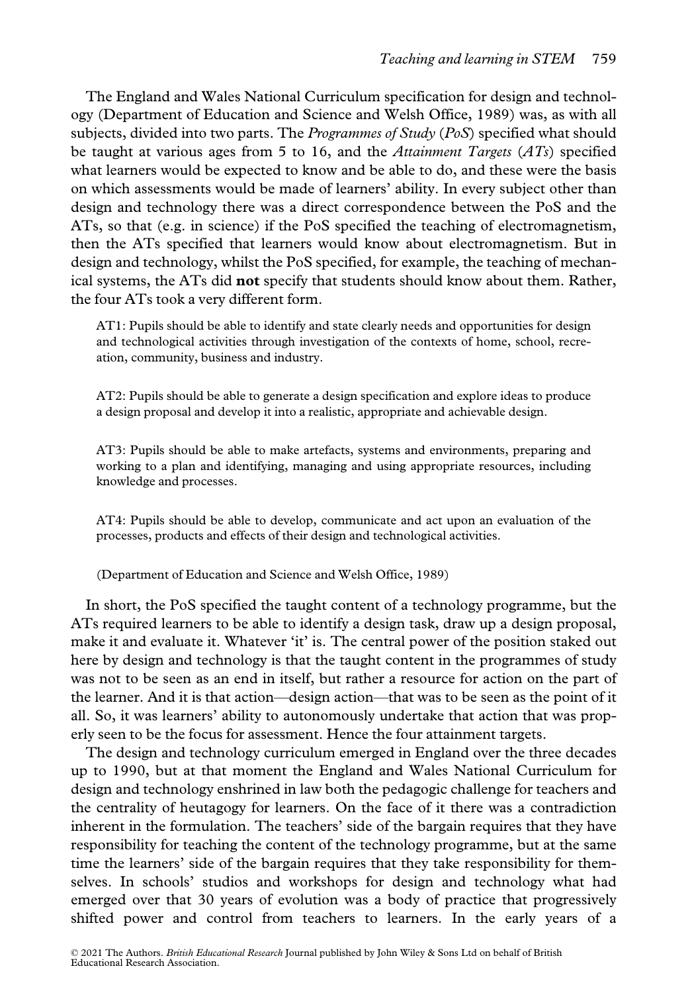The England and Wales National Curriculum specification for design and technology (Department of Education and Science and Welsh Office, 1989) was, as with all subjects, divided into two parts. The *Programmes of Study* ( $PoS$ ) specified what should be taught at various ages from 5 to 16, and the Attainment Targets  $(ATs)$  specified what learners would be expected to know and be able to do, and these were the basis on which assessments would be made of learners' ability. In every subject other than design and technology there was a direct correspondence between the PoS and the ATs, so that (e.g. in science) if the PoS specified the teaching of electromagnetism, then the ATs specified that learners would know about electromagnetism. But in design and technology, whilst the PoS specified, for example, the teaching of mechanical systems, the ATs did not specify that students should know about them. Rather, the four ATs took a very different form.

AT1: Pupils should be able to identify and state clearly needs and opportunities for design and technological activities through investigation of the contexts of home, school, recreation, community, business and industry.

AT2: Pupils should be able to generate a design specification and explore ideas to produce a design proposal and develop it into a realistic, appropriate and achievable design.

AT3: Pupils should be able to make artefacts, systems and environments, preparing and working to a plan and identifying, managing and using appropriate resources, including knowledge and processes.

AT4: Pupils should be able to develop, communicate and act upon an evaluation of the processes, products and effects of their design and technological activities.

(Department of Education and Science and Welsh Office, 1989)

In short, the PoS specified the taught content of a technology programme, but the ATs required learners to be able to identify a design task, draw up a design proposal, make it and evaluate it. Whatever 'it' is. The central power of the position staked out here by design and technology is that the taught content in the programmes of study was not to be seen as an end in itself, but rather a resource for action on the part of the learner. And it is that action—design action—that was to be seen as the point of it all. So, it was learners' ability to autonomously undertake that action that was properly seen to be the focus for assessment. Hence the four attainment targets.

The design and technology curriculum emerged in England over the three decades up to 1990, but at that moment the England and Wales National Curriculum for design and technology enshrined in law both the pedagogic challenge for teachers and the centrality of heutagogy for learners. On the face of it there was a contradiction inherent in the formulation. The teachers' side of the bargain requires that they have responsibility for teaching the content of the technology programme, but at the same time the learners' side of the bargain requires that they take responsibility for themselves. In schools' studios and workshops for design and technology what had emerged over that 30 years of evolution was a body of practice that progressively shifted power and control from teachers to learners. In the early years of a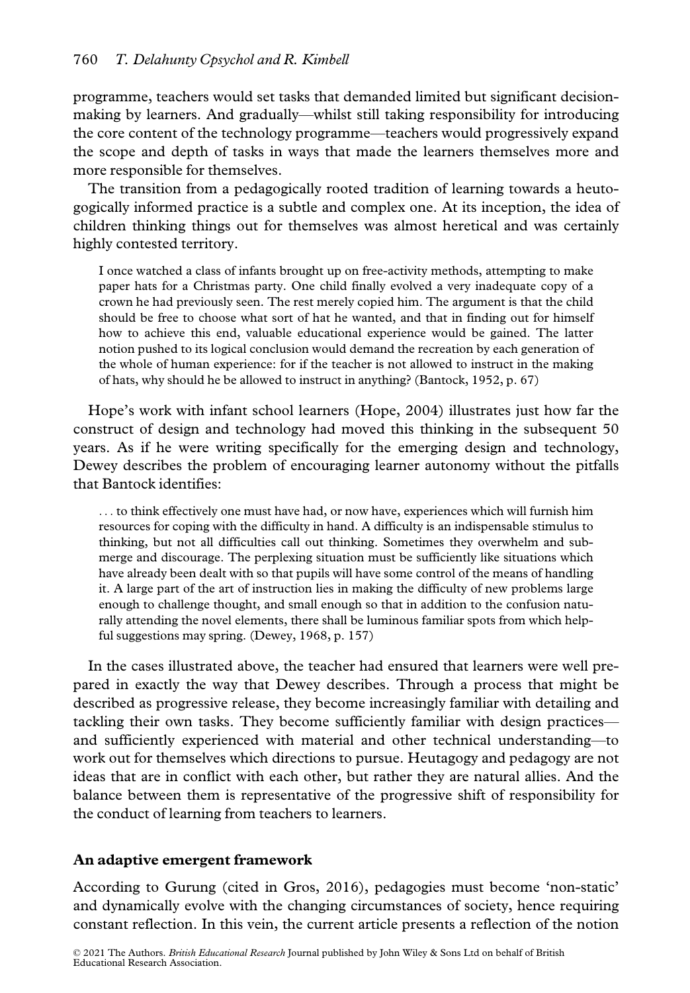programme, teachers would set tasks that demanded limited but significant decisionmaking by learners. And gradually—whilst still taking responsibility for introducing the core content of the technology programme—teachers would progressively expand the scope and depth of tasks in ways that made the learners themselves more and more responsible for themselves.

The transition from a pedagogically rooted tradition of learning towards a heutogogically informed practice is a subtle and complex one. At its inception, the idea of children thinking things out for themselves was almost heretical and was certainly highly contested territory.

I once watched a class of infants brought up on free-activity methods, attempting to make paper hats for a Christmas party. One child finally evolved a very inadequate copy of a crown he had previously seen. The rest merely copied him. The argument is that the child should be free to choose what sort of hat he wanted, and that in finding out for himself how to achieve this end, valuable educational experience would be gained. The latter notion pushed to its logical conclusion would demand the recreation by each generation of the whole of human experience: for if the teacher is not allowed to instruct in the making of hats, why should he be allowed to instruct in anything? (Bantock, 1952, p. 67)

Hope's work with infant school learners (Hope, 2004) illustrates just how far the construct of design and technology had moved this thinking in the subsequent 50 years. As if he were writing specifically for the emerging design and technology, Dewey describes the problem of encouraging learner autonomy without the pitfalls that Bantock identifies:

... to think effectively one must have had, or now have, experiences which will furnish him resources for coping with the difficulty in hand. A difficulty is an indispensable stimulus to thinking, but not all difficulties call out thinking. Sometimes they overwhelm and submerge and discourage. The perplexing situation must be sufficiently like situations which have already been dealt with so that pupils will have some control of the means of handling it. A large part of the art of instruction lies in making the difficulty of new problems large enough to challenge thought, and small enough so that in addition to the confusion naturally attending the novel elements, there shall be luminous familiar spots from which helpful suggestions may spring. (Dewey, 1968, p. 157)

In the cases illustrated above, the teacher had ensured that learners were well prepared in exactly the way that Dewey describes. Through a process that might be described as progressive release, they become increasingly familiar with detailing and tackling their own tasks. They become sufficiently familiar with design practices and sufficiently experienced with material and other technical understanding—to work out for themselves which directions to pursue. Heutagogy and pedagogy are not ideas that are in conflict with each other, but rather they are natural allies. And the balance between them is representative of the progressive shift of responsibility for the conduct of learning from teachers to learners.

# An adaptive emergent framework

According to Gurung (cited in Gros, 2016), pedagogies must become 'non-static' and dynamically evolve with the changing circumstances of society, hence requiring constant reflection. In this vein, the current article presents a reflection of the notion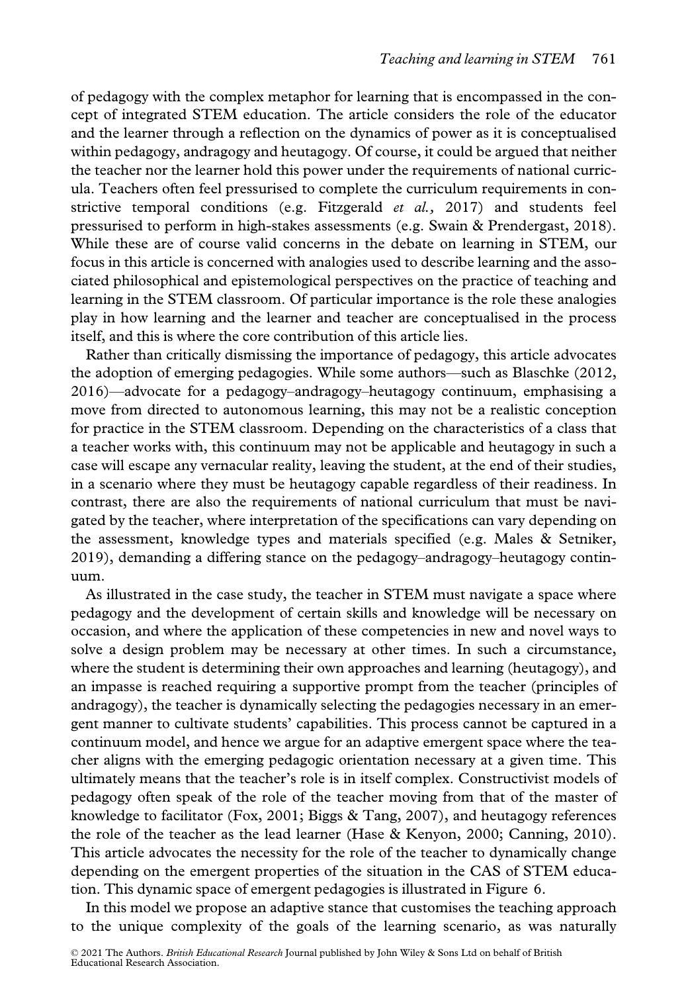of pedagogy with the complex metaphor for learning that is encompassed in the concept of integrated STEM education. The article considers the role of the educator and the learner through a reflection on the dynamics of power as it is conceptualised within pedagogy, andragogy and heutagogy. Of course, it could be argued that neither the teacher nor the learner hold this power under the requirements of national curricula. Teachers often feel pressurised to complete the curriculum requirements in constrictive temporal conditions (e.g. Fitzgerald  $et$  al., 2017) and students feel pressurised to perform in high-stakes assessments (e.g. Swain & Prendergast, 2018). While these are of course valid concerns in the debate on learning in STEM, our focus in this article is concerned with analogies used to describe learning and the associated philosophical and epistemological perspectives on the practice of teaching and learning in the STEM classroom. Of particular importance is the role these analogies play in how learning and the learner and teacher are conceptualised in the process itself, and this is where the core contribution of this article lies.

Rather than critically dismissing the importance of pedagogy, this article advocates the adoption of emerging pedagogies. While some authors—such as Blaschke (2012, 2016)—advocate for a pedagogy–andragogy–heutagogy continuum, emphasising a move from directed to autonomous learning, this may not be a realistic conception for practice in the STEM classroom. Depending on the characteristics of a class that a teacher works with, this continuum may not be applicable and heutagogy in such a case will escape any vernacular reality, leaving the student, at the end of their studies, in a scenario where they must be heutagogy capable regardless of their readiness. In contrast, there are also the requirements of national curriculum that must be navigated by the teacher, where interpretation of the specifications can vary depending on the assessment, knowledge types and materials specified (e.g. Males & Setniker, 2019), demanding a differing stance on the pedagogy–andragogy–heutagogy continuum.

As illustrated in the case study, the teacher in STEM must navigate a space where pedagogy and the development of certain skills and knowledge will be necessary on occasion, and where the application of these competencies in new and novel ways to solve a design problem may be necessary at other times. In such a circumstance, where the student is determining their own approaches and learning (heutagogy), and an impasse is reached requiring a supportive prompt from the teacher (principles of andragogy), the teacher is dynamically selecting the pedagogies necessary in an emergent manner to cultivate students' capabilities. This process cannot be captured in a continuum model, and hence we argue for an adaptive emergent space where the teacher aligns with the emerging pedagogic orientation necessary at a given time. This ultimately means that the teacher's role is in itself complex. Constructivist models of pedagogy often speak of the role of the teacher moving from that of the master of knowledge to facilitator (Fox, 2001; Biggs & Tang, 2007), and heutagogy references the role of the teacher as the lead learner (Hase & Kenyon, 2000; Canning, 2010). This article advocates the necessity for the role of the teacher to dynamically change depending on the emergent properties of the situation in the CAS of STEM education. This dynamic space of emergent pedagogies is illustrated in Figure 6.

In this model we propose an adaptive stance that customises the teaching approach to the unique complexity of the goals of the learning scenario, as was naturally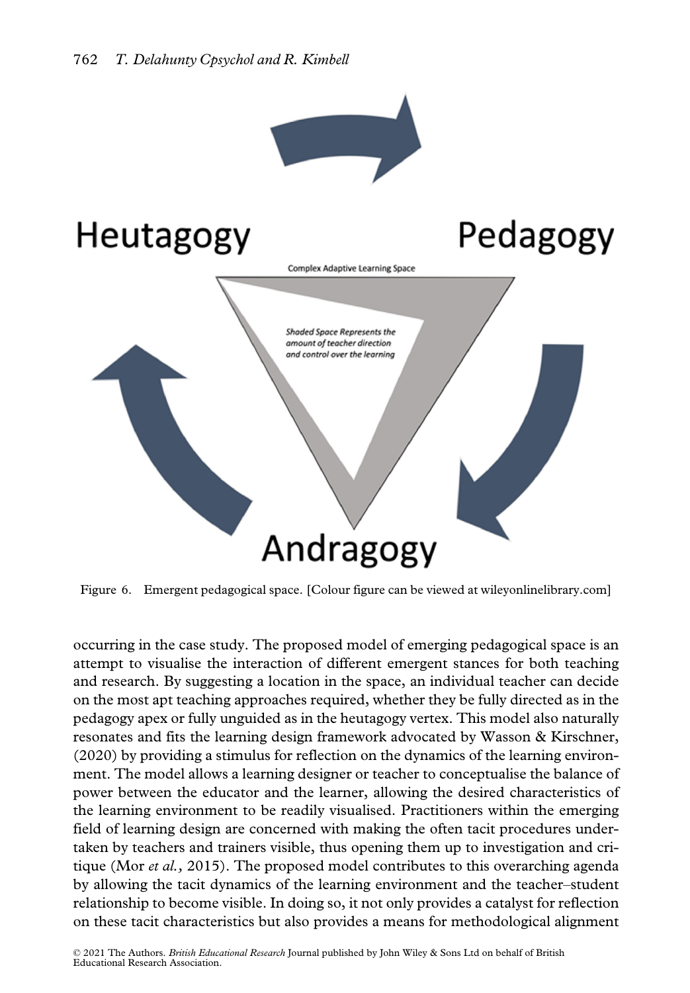



Figure 6. Emergent pedagogical space. [Colour figure can be viewed at [wileyonlinelibrary.com\]](www.wileyonlinelibrary.com)

occurring in the case study. The proposed model of emerging pedagogical space is an attempt to visualise the interaction of different emergent stances for both teaching and research. By suggesting a location in the space, an individual teacher can decide on the most apt teaching approaches required, whether they be fully directed as in the pedagogy apex or fully unguided as in the heutagogy vertex. This model also naturally resonates and fits the learning design framework advocated by Wasson & Kirschner, (2020) by providing a stimulus for reflection on the dynamics of the learning environment. The model allows a learning designer or teacher to conceptualise the balance of power between the educator and the learner, allowing the desired characteristics of the learning environment to be readily visualised. Practitioners within the emerging field of learning design are concerned with making the often tacit procedures undertaken by teachers and trainers visible, thus opening them up to investigation and critique (Mor *et al.*, 2015). The proposed model contributes to this overarching agenda by allowing the tacit dynamics of the learning environment and the teacher–student relationship to become visible. In doing so, it not only provides a catalyst for reflection on these tacit characteristics but also provides a means for methodological alignment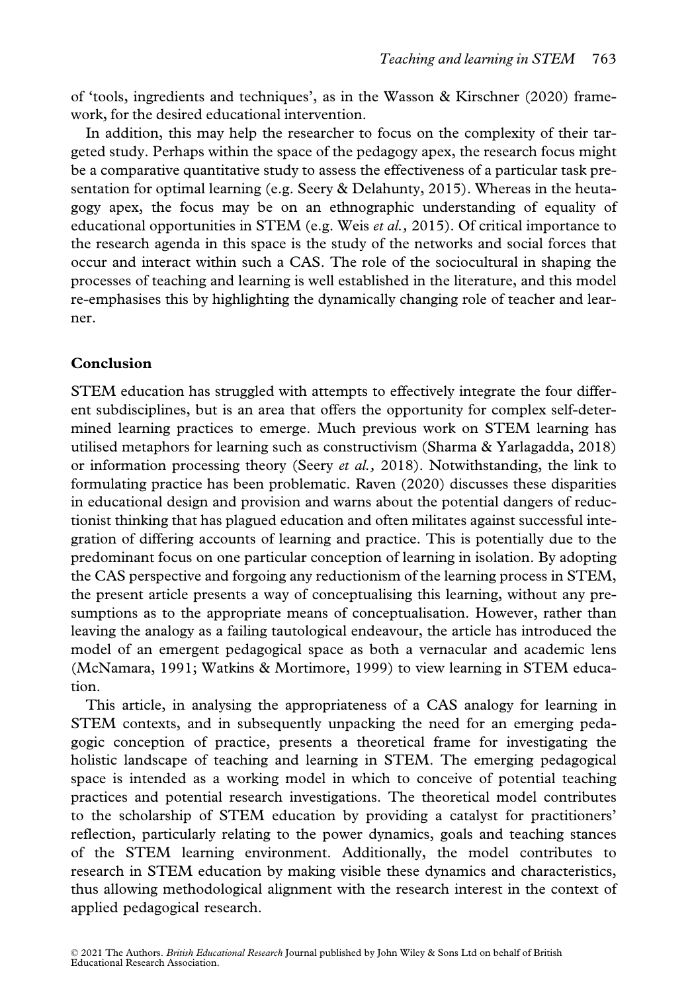of 'tools, ingredients and techniques', as in the Wasson & Kirschner (2020) framework, for the desired educational intervention.

In addition, this may help the researcher to focus on the complexity of their targeted study. Perhaps within the space of the pedagogy apex, the research focus might be a comparative quantitative study to assess the effectiveness of a particular task presentation for optimal learning (e.g. Seery & Delahunty, 2015). Whereas in the heutagogy apex, the focus may be on an ethnographic understanding of equality of educational opportunities in STEM (e.g. Weis *et al.*, 2015). Of critical importance to the research agenda in this space is the study of the networks and social forces that occur and interact within such a CAS. The role of the sociocultural in shaping the processes of teaching and learning is well established in the literature, and this model re-emphasises this by highlighting the dynamically changing role of teacher and learner.

# Conclusion

STEM education has struggled with attempts to effectively integrate the four different subdisciplines, but is an area that offers the opportunity for complex self-determined learning practices to emerge. Much previous work on STEM learning has utilised metaphors for learning such as constructivism (Sharma & Yarlagadda, 2018) or information processing theory (Seery *et al.*, 2018). Notwithstanding, the link to formulating practice has been problematic. Raven (2020) discusses these disparities in educational design and provision and warns about the potential dangers of reductionist thinking that has plagued education and often militates against successful integration of differing accounts of learning and practice. This is potentially due to the predominant focus on one particular conception of learning in isolation. By adopting the CAS perspective and forgoing any reductionism of the learning process in STEM, the present article presents a way of conceptualising this learning, without any presumptions as to the appropriate means of conceptualisation. However, rather than leaving the analogy as a failing tautological endeavour, the article has introduced the model of an emergent pedagogical space as both a vernacular and academic lens (McNamara, 1991; Watkins & Mortimore, 1999) to view learning in STEM education.

This article, in analysing the appropriateness of a CAS analogy for learning in STEM contexts, and in subsequently unpacking the need for an emerging pedagogic conception of practice, presents a theoretical frame for investigating the holistic landscape of teaching and learning in STEM. The emerging pedagogical space is intended as a working model in which to conceive of potential teaching practices and potential research investigations. The theoretical model contributes to the scholarship of STEM education by providing a catalyst for practitioners' reflection, particularly relating to the power dynamics, goals and teaching stances of the STEM learning environment. Additionally, the model contributes to research in STEM education by making visible these dynamics and characteristics, thus allowing methodological alignment with the research interest in the context of applied pedagogical research.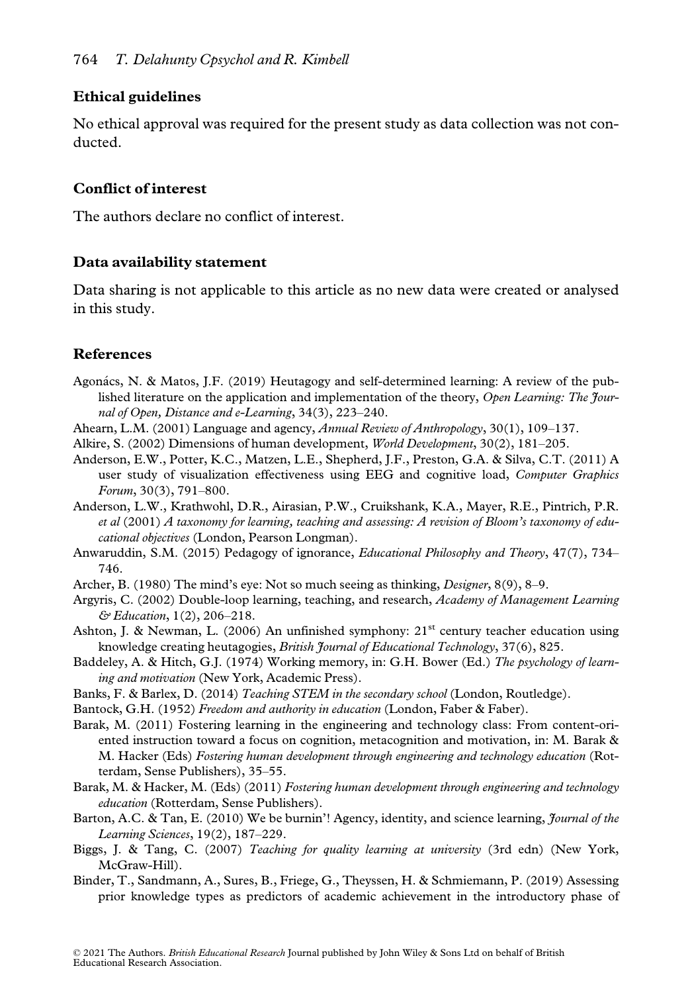# Ethical guidelines

No ethical approval was required for the present study as data collection was not conducted.

# Conflict of interest

The authors declare no conflict of interest.

# Data availability statement

Data sharing is not applicable to this article as no new data were created or analysed in this study.

# References

- Agonács, N. & Matos, J.F. (2019) Heutagogy and self-determined learning: A review of the published literature on the application and implementation of the theory, Open Learning: The Journal of Open, Distance and e-Learning, 34(3), 223–240.
- Ahearn, L.M. (2001) Language and agency, *Annual Review of Anthropology*, 30(1), 109–137.
- Alkire, S. (2002) Dimensions of human development, World Development, 30(2), 181–205.
- Anderson, E.W., Potter, K.C., Matzen, L.E., Shepherd, J.F., Preston, G.A. & Silva, C.T. (2011) A user study of visualization effectiveness using EEG and cognitive load, Computer Graphics Forum, 30(3), 791–800.
- Anderson, L.W., Krathwohl, D.R., Airasian, P.W., Cruikshank, K.A., Mayer, R.E., Pintrich, P.R. et al (2001) A taxonomy for learning, teaching and assessing: A revision of Bloom's taxonomy of educational objectives (London, Pearson Longman).
- Anwaruddin, S.M. (2015) Pedagogy of ignorance, Educational Philosophy and Theory, 47(7), 734– 746.
- Archer, B. (1980) The mind's eye: Not so much seeing as thinking, *Designer*, 8(9), 8–9.
- Argyris, C. (2002) Double-loop learning, teaching, and research, Academy of Management Learning & Education, 1(2), 206–218.

Ashton, J. & Newman, L. (2006) An unfinished symphony:  $21<sup>st</sup>$  century teacher education using knowledge creating heutagogies, British Journal of Educational Technology, 37(6), 825.

- Baddeley, A. & Hitch, G.J. (1974) Working memory, in: G.H. Bower (Ed.) The psychology of learning and motivation (New York, Academic Press).
- Banks, F. & Barlex, D. (2014) Teaching STEM in the secondary school (London, Routledge).

Bantock, G.H. (1952) Freedom and authority in education (London, Faber & Faber).

- Barak, M. (2011) Fostering learning in the engineering and technology class: From content-oriented instruction toward a focus on cognition, metacognition and motivation, in: M. Barak & M. Hacker (Eds) Fostering human development through engineering and technology education (Rotterdam, Sense Publishers), 35–55.
- Barak, M. & Hacker, M. (Eds) (2011) Fostering human development through engineering and technology education (Rotterdam, Sense Publishers).
- Barton, A.C. & Tan, E. (2010) We be burnin'! Agency, identity, and science learning, *Journal of the* Learning Sciences, 19(2), 187–229.
- Biggs, J. & Tang, C. (2007) Teaching for quality learning at university (3rd edn) (New York, McGraw-Hill).
- Binder, T., Sandmann, A., Sures, B., Friege, G., Theyssen, H. & Schmiemann, P. (2019) Assessing prior knowledge types as predictors of academic achievement in the introductory phase of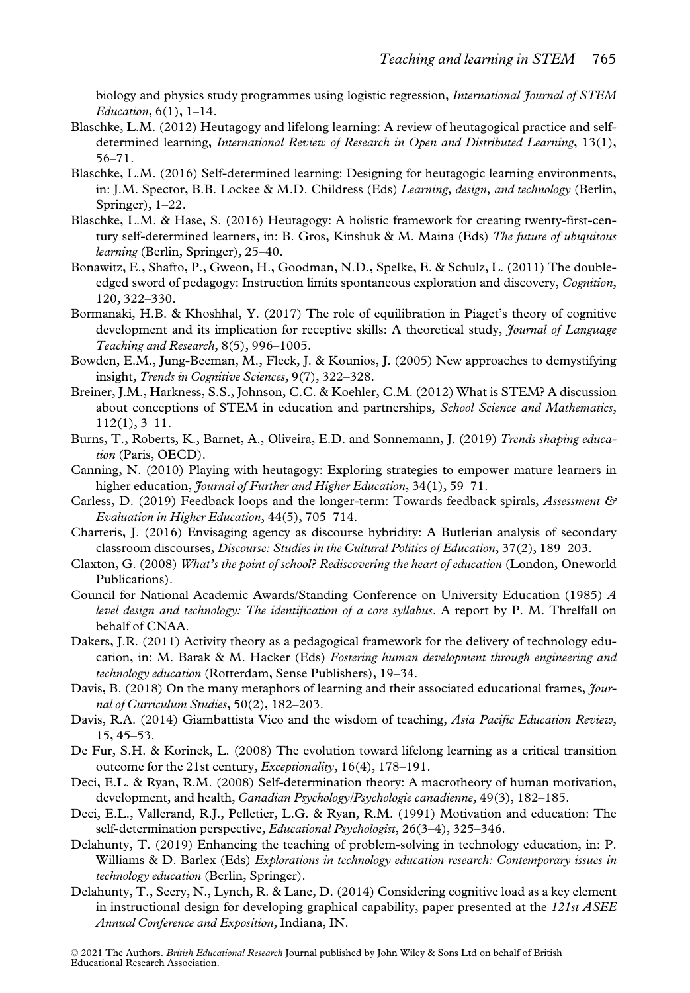biology and physics study programmes using logistic regression, International Journal of STEM Education, 6(1), 1–14.

- Blaschke, L.M. (2012) Heutagogy and lifelong learning: A review of heutagogical practice and selfdetermined learning, *International Review of Research in Open and Distributed Learning*, 13(1), 56–71.
- Blaschke, L.M. (2016) Self-determined learning: Designing for heutagogic learning environments, in: J.M. Spector, B.B. Lockee & M.D. Childress (Eds) Learning, design, and technology (Berlin, Springer), 1–22.
- Blaschke, L.M. & Hase, S. (2016) Heutagogy: A holistic framework for creating twenty-first-century self-determined learners, in: B. Gros, Kinshuk & M. Maina (Eds) The future of ubiquitous learning (Berlin, Springer), 25–40.
- Bonawitz, E., Shafto, P., Gweon, H., Goodman, N.D., Spelke, E. & Schulz, L. (2011) The doubleedged sword of pedagogy: Instruction limits spontaneous exploration and discovery, Cognition, 120, 322–330.
- Bormanaki, H.B. & Khoshhal, Y. (2017) The role of equilibration in Piaget's theory of cognitive development and its implication for receptive skills: A theoretical study, *Journal of Language* Teaching and Research, 8(5), 996–1005.
- Bowden, E.M., Jung-Beeman, M., Fleck, J. & Kounios, J. (2005) New approaches to demystifying insight, Trends in Cognitive Sciences, 9(7), 322–328.
- Breiner, J.M., Harkness, S.S., Johnson, C.C. & Koehler, C.M. (2012) What is STEM? A discussion about conceptions of STEM in education and partnerships, School Science and Mathematics, 112(1), 3–11.
- Burns, T., Roberts, K., Barnet, A., Oliveira, E.D. and Sonnemann, J. (2019) Trends shaping education (Paris, OECD).
- Canning, N. (2010) Playing with heutagogy: Exploring strategies to empower mature learners in higher education, *Journal of Further and Higher Education*, 34(1), 59–71.
- Carless, D. (2019) Feedback loops and the longer-term: Towards feedback spirals, Assessment & Evaluation in Higher Education, 44(5), 705–714.
- Charteris, J. (2016) Envisaging agency as discourse hybridity: A Butlerian analysis of secondary classroom discourses, Discourse: Studies in the Cultural Politics of Education, 37(2), 189–203.
- Claxton, G. (2008) What's the point of school? Rediscovering the heart of education (London, Oneworld Publications).
- Council for National Academic Awards/Standing Conference on University Education (1985) A level design and technology: The identification of a core syllabus. A report by P. M. Threlfall on behalf of CNAA.
- Dakers, J.R. (2011) Activity theory as a pedagogical framework for the delivery of technology education, in: M. Barak  $\&$  M. Hacker (Eds) Fostering human development through engineering and technology education (Rotterdam, Sense Publishers), 19–34.
- Davis, B. (2018) On the many metaphors of learning and their associated educational frames, *Jour*nal of Curriculum Studies, 50(2), 182–203.
- Davis, R.A. (2014) Giambattista Vico and the wisdom of teaching, Asia Pacific Education Review, 15, 45–53.
- De Fur, S.H. & Korinek, L. (2008) The evolution toward lifelong learning as a critical transition outcome for the 21st century, Exceptionality, 16(4), 178–191.
- Deci, E.L. & Ryan, R.M. (2008) Self-determination theory: A macrotheory of human motivation, development, and health, Canadian Psychology/Psychologie canadienne, 49(3), 182–185.
- Deci, E.L., Vallerand, R.J., Pelletier, L.G. & Ryan, R.M. (1991) Motivation and education: The self-determination perspective, Educational Psychologist, 26(3–4), 325–346.
- Delahunty, T. (2019) Enhancing the teaching of problem-solving in technology education, in: P. Williams & D. Barlex (Eds) Explorations in technology education research: Contemporary issues in technology education (Berlin, Springer).
- Delahunty, T., Seery, N., Lynch, R. & Lane, D. (2014) Considering cognitive load as a key element in instructional design for developing graphical capability, paper presented at the 121st ASEE Annual Conference and Exposition, Indiana, IN.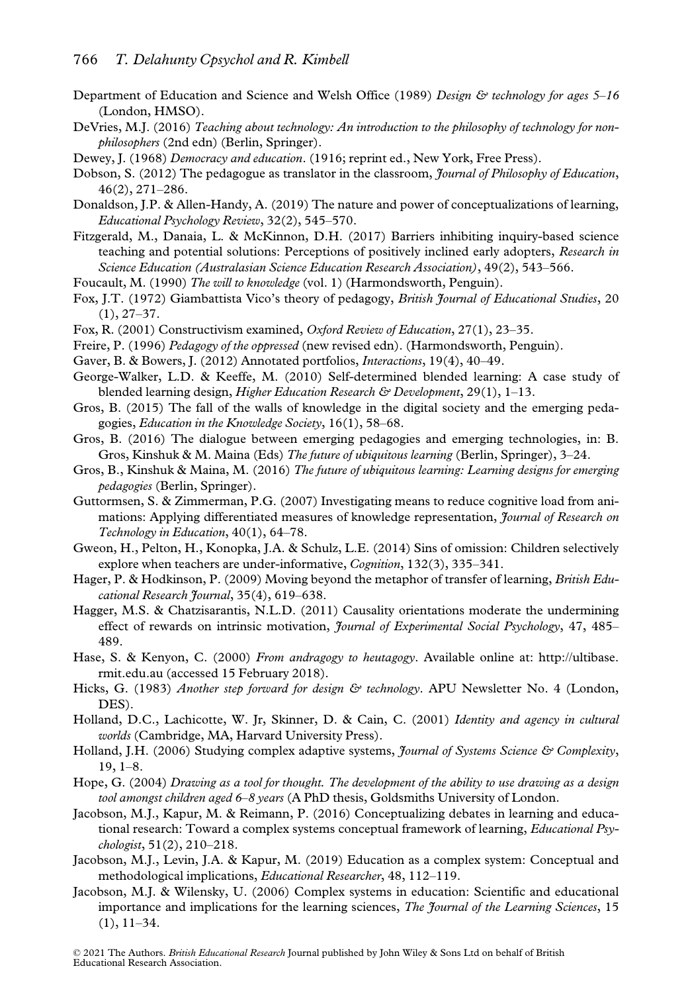- Department of Education and Science and Welsh Office (1989) Design & technology for ages 5-16 (London, HMSO).
- DeVries, M.J. (2016) Teaching about technology: An introduction to the philosophy of technology for nonphilosophers (2nd edn) (Berlin, Springer).
- Dewey, J. (1968) Democracy and education. (1916; reprint ed., New York, Free Press).
- Dobson, S. (2012) The pedagogue as translator in the classroom, *Journal of Philosophy of Education*, 46(2), 271–286.
- Donaldson, J.P. & Allen-Handy, A. (2019) The nature and power of conceptualizations of learning, Educational Psychology Review, 32(2), 545–570.
- Fitzgerald, M., Danaia, L. & McKinnon, D.H. (2017) Barriers inhibiting inquiry-based science teaching and potential solutions: Perceptions of positively inclined early adopters, Research in Science Education (Australasian Science Education Research Association), 49(2), 543–566.
- Foucault, M. (1990) The will to knowledge (vol. 1) (Harmondsworth, Penguin).
- Fox, J.T. (1972) Giambattista Vico's theory of pedagogy, *British Journal of Educational Studies*, 20  $(1), 27-37.$
- Fox, R. (2001) Constructivism examined, Oxford Review of Education, 27(1), 23–35.
- Freire, P. (1996) Pedagogy of the oppressed (new revised edn). (Harmondsworth, Penguin).
- Gaver, B. & Bowers, J. (2012) Annotated portfolios, Interactions, 19(4), 40–49.
- George-Walker, L.D. & Keeffe, M. (2010) Self-determined blended learning: A case study of blended learning design, *Higher Education Research & Development*, 29(1), 1–13.
- Gros, B. (2015) The fall of the walls of knowledge in the digital society and the emerging pedagogies, Education in the Knowledge Society, 16(1), 58–68.
- Gros, B. (2016) The dialogue between emerging pedagogies and emerging technologies, in: B. Gros, Kinshuk & M. Maina (Eds) The future of ubiquitous learning (Berlin, Springer), 3–24.
- Gros, B., Kinshuk & Maina, M. (2016) The future of ubiquitous learning: Learning designs for emerging pedagogies (Berlin, Springer).
- Guttormsen, S. & Zimmerman, P.G. (2007) Investigating means to reduce cognitive load from animations: Applying differentiated measures of knowledge representation, *Journal of Research on* Technology in Education, 40(1), 64–78.
- Gweon, H., Pelton, H., Konopka, J.A. & Schulz, L.E. (2014) Sins of omission: Children selectively explore when teachers are under-informative, *Cognition*, 132(3), 335–341.
- Hager, P. & Hodkinson, P. (2009) Moving beyond the metaphor of transfer of learning, British Educational Research Journal, 35(4), 619–638.
- Hagger, M.S. & Chatzisarantis, N.L.D. (2011) Causality orientations moderate the undermining effect of rewards on intrinsic motivation, *Journal of Experimental Social Psychology*, 47, 485– 489.
- Hase, S. & Kenyon, C. (2000) *From andragogy to heutagogy*. Available online at: [http://ultibase.](http://ultibase.rmit.edu.au) [rmit.edu.au](http://ultibase.rmit.edu.au) (accessed 15 February 2018).
- Hicks, G. (1983) Another step forward for design & technology. APU Newsletter No. 4 (London, DES).
- Holland, D.C., Lachicotte, W. Jr, Skinner, D. & Cain, C. (2001) Identity and agency in cultural worlds (Cambridge, MA, Harvard University Press).
- Holland, J.H. (2006) Studying complex adaptive systems, *Journal of Systems Science & Complexity*, 19, 1–8.
- Hope, G. (2004) Drawing as a tool for thought. The development of the ability to use drawing as a design tool amongst children aged 6–8 years (A PhD thesis, Goldsmiths University of London.
- Jacobson, M.J., Kapur, M. & Reimann, P. (2016) Conceptualizing debates in learning and educational research: Toward a complex systems conceptual framework of learning, *Educational Psy*chologist, 51(2), 210–218.
- Jacobson, M.J., Levin, J.A. & Kapur, M. (2019) Education as a complex system: Conceptual and methodological implications, Educational Researcher, 48, 112–119.
- Jacobson, M.J. & Wilensky, U. (2006) Complex systems in education: Scientific and educational importance and implications for the learning sciences, The Journal of the Learning Sciences, 15 (1), 11–34.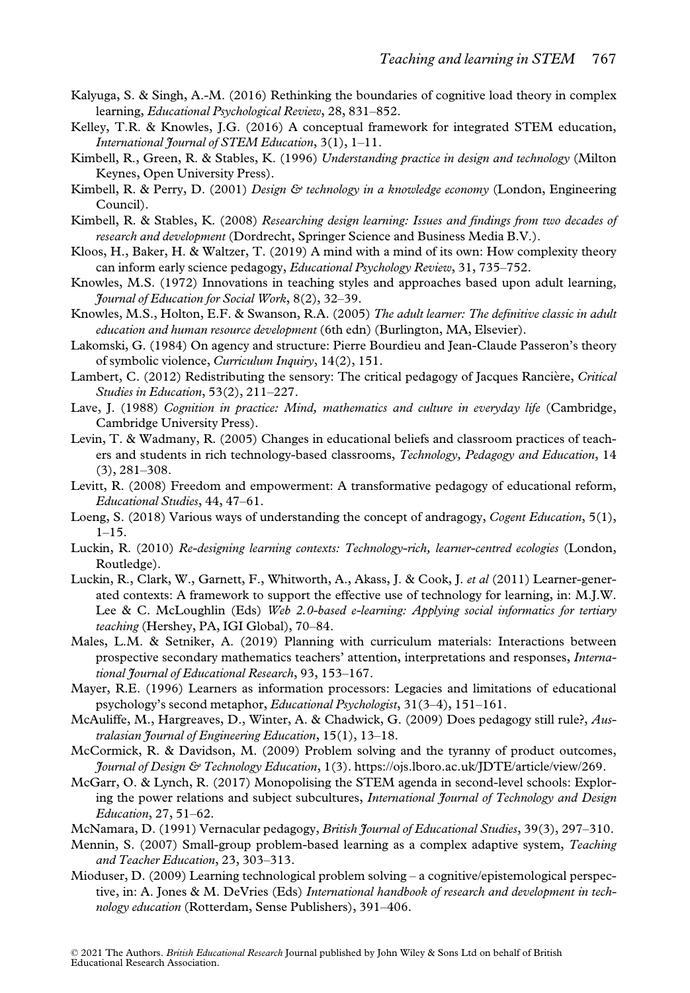- Kalyuga, S. & Singh, A.-M. (2016) Rethinking the boundaries of cognitive load theory in complex learning, Educational Psychological Review, 28, 831–852.
- Kelley, T.R. & Knowles, J.G. (2016) A conceptual framework for integrated STEM education, International Journal of STEM Education, 3(1), 1-11.
- Kimbell, R., Green, R. & Stables, K. (1996) Understanding practice in design and technology (Milton Keynes, Open University Press).
- Kimbell, R. & Perry, D. (2001) Design & technology in a knowledge economy (London, Engineering Council).
- Kimbell, R. & Stables, K. (2008) Researching design learning: Issues and findings from two decades of research and development (Dordrecht, Springer Science and Business Media B.V.).
- Kloos, H., Baker, H. & Waltzer, T. (2019) A mind with a mind of its own: How complexity theory can inform early science pedagogy, Educational Psychology Review, 31, 735–752.
- Knowles, M.S. (1972) Innovations in teaching styles and approaches based upon adult learning, Journal of Education for Social Work, 8(2), 32–39.
- Knowles, M.S., Holton, E.F. & Swanson, R.A. (2005) The adult learner: The definitive classic in adult education and human resource development (6th edn) (Burlington, MA, Elsevier).
- Lakomski, G. (1984) On agency and structure: Pierre Bourdieu and Jean-Claude Passeron's theory of symbolic violence, Curriculum Inquiry, 14(2), 151.
- Lambert, C. (2012) Redistributing the sensory: The critical pedagogy of Jacques Rancière, Critical Studies in Education, 53(2), 211–227.
- Lave, J. (1988) Cognition in practice: Mind, mathematics and culture in everyday life (Cambridge, Cambridge University Press).
- Levin, T. & Wadmany, R. (2005) Changes in educational beliefs and classroom practices of teachers and students in rich technology-based classrooms, Technology, Pedagogy and Education, 14 (3), 281–308.
- Levitt, R. (2008) Freedom and empowerment: A transformative pedagogy of educational reform, Educational Studies, 44, 47–61.
- Loeng, S. (2018) Various ways of understanding the concept of andragogy, Cogent Education, 5(1),  $1 - 15$ .
- Luckin, R. (2010) Re-designing learning contexts: Technology-rich, learner-centred ecologies (London, Routledge).
- Luckin, R., Clark, W., Garnett, F., Whitworth, A., Akass, J. & Cook, J. et al (2011) Learner-generated contexts: A framework to support the effective use of technology for learning, in: M.J.W. Lee & C. McLoughlin (Eds) Web 2.0-based e-learning: Applying social informatics for tertiary teaching (Hershey, PA, IGI Global), 70–84.
- Males, L.M. & Setniker, A. (2019) Planning with curriculum materials: Interactions between prospective secondary mathematics teachers' attention, interpretations and responses, International Journal of Educational Research, 93, 153–167.
- Mayer, R.E. (1996) Learners as information processors: Legacies and limitations of educational psychology's second metaphor, Educational Psychologist, 31(3–4), 151–161.
- McAuliffe, M., Hargreaves, D., Winter, A. & Chadwick, G. (2009) Does pedagogy still rule?, Australasian Journal of Engineering Education, 15(1), 13–18.
- McCormick, R. & Davidson, M. (2009) Problem solving and the tyranny of product outcomes, Journal of Design & Technology Education, 1(3). [https://ojs.lboro.ac.uk/JDTE/article/view/269.](https://ojs.lboro.ac.uk/JDTE/article/view/269)
- McGarr, O. & Lynch, R. (2017) Monopolising the STEM agenda in second-level schools: Exploring the power relations and subject subcultures, International Journal of Technology and Design Education, 27, 51–62.
- McNamara, D. (1991) Vernacular pedagogy, British Journal of Educational Studies, 39(3), 297-310.
- Mennin, S. (2007) Small-group problem-based learning as a complex adaptive system, *Teaching* and Teacher Education, 23, 303–313.
- Mioduser, D. (2009) Learning technological problem solving a cognitive/epistemological perspective, in: A. Jones & M. DeVries (Eds) International handbook of research and development in technology education (Rotterdam, Sense Publishers), 391–406.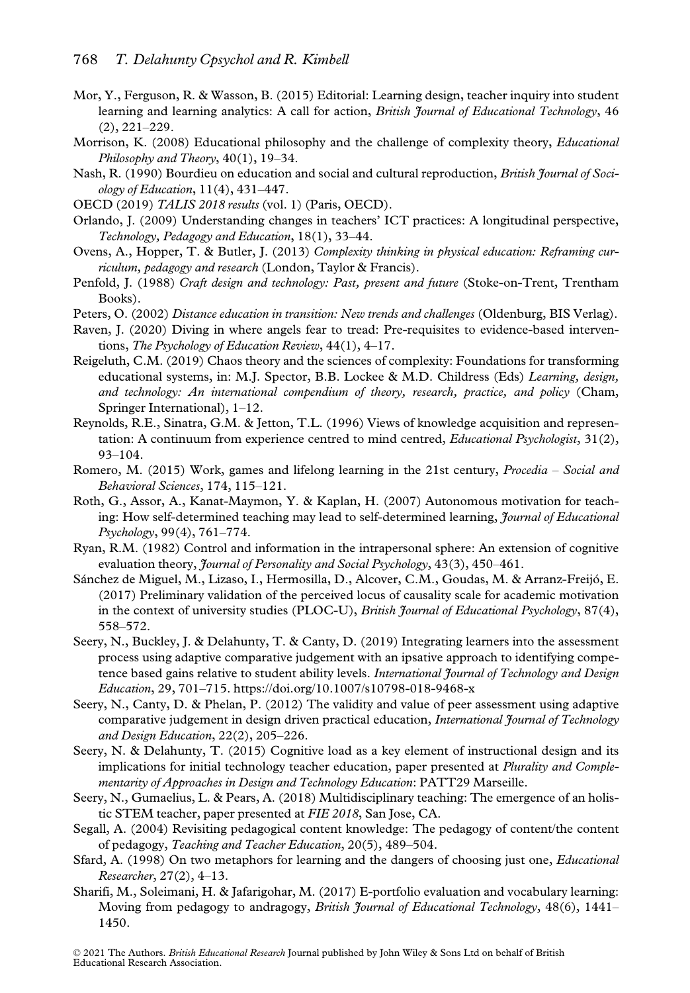- Mor, Y., Ferguson, R. & Wasson, B. (2015) Editorial: Learning design, teacher inquiry into student learning and learning analytics: A call for action, *British Journal of Educational Technology*, 46 (2), 221–229.
- Morrison, K. (2008) Educational philosophy and the challenge of complexity theory, *Educational* Philosophy and Theory, 40(1), 19–34.
- Nash, R. (1990) Bourdieu on education and social and cultural reproduction, *British Journal of Soci*ology of Education, 11(4), 431–447.
- OECD (2019) TALIS 2018 results (vol. 1) (Paris, OECD).
- Orlando, J. (2009) Understanding changes in teachers' ICT practices: A longitudinal perspective, Technology, Pedagogy and Education, 18(1), 33–44.
- Ovens, A., Hopper, T. & Butler, J. (2013) Complexity thinking in physical education: Reframing curriculum, pedagogy and research (London, Taylor & Francis).
- Penfold, J. (1988) Craft design and technology: Past, present and future (Stoke-on-Trent, Trentham Books).
- Peters, O. (2002) Distance education in transition: New trends and challenges (Oldenburg, BIS Verlag).
- Raven, J. (2020) Diving in where angels fear to tread: Pre-requisites to evidence-based interventions, The Psychology of Education Review, 44(1), 4-17.
- Reigeluth, C.M. (2019) Chaos theory and the sciences of complexity: Foundations for transforming educational systems, in: M.J. Spector, B.B. Lockee & M.D. Childress (Eds) Learning, design, and technology: An international compendium of theory, research, practice, and policy (Cham, Springer International), 1–12.
- Reynolds, R.E., Sinatra, G.M. & Jetton, T.L. (1996) Views of knowledge acquisition and representation: A continuum from experience centred to mind centred, *Educational Psychologist*, 31(2), 93–104.
- Romero, M. (2015) Work, games and lifelong learning in the 21st century, *Procedia Social and* Behavioral Sciences, 174, 115–121.
- Roth, G., Assor, A., Kanat-Maymon, Y. & Kaplan, H. (2007) Autonomous motivation for teaching: How self-determined teaching may lead to self-determined learning, *Journal of Educational* Psychology, 99(4), 761–774.
- Ryan, R.M. (1982) Control and information in the intrapersonal sphere: An extension of cognitive evaluation theory, *Journal of Personality and Social Psychology*, 43(3), 450–461.
- Sánchez de Miguel, M., Lizaso, I., Hermosilla, D., Alcover, C.M., Goudas, M. & Arranz-Freijó, E. (2017) Preliminary validation of the perceived locus of causality scale for academic motivation in the context of university studies (PLOC-U), British Journal of Educational Psychology, 87(4), 558–572.
- Seery, N., Buckley, J. & Delahunty, T. & Canty, D. (2019) Integrating learners into the assessment process using adaptive comparative judgement with an ipsative approach to identifying competence based gains relative to student ability levels. International Journal of Technology and Design Education, 29, 701–715.<https://doi.org/10.1007/s10798-018-9468-x>
- Seery, N., Canty, D. & Phelan, P. (2012) The validity and value of peer assessment using adaptive comparative judgement in design driven practical education, International Journal of Technology and Design Education, 22(2), 205–226.
- Seery, N. & Delahunty, T. (2015) Cognitive load as a key element of instructional design and its implications for initial technology teacher education, paper presented at Plurality and Complementarity of Approaches in Design and Technology Education: PATT29 Marseille.
- Seery, N., Gumaelius, L. & Pears, A. (2018) Multidisciplinary teaching: The emergence of an holistic STEM teacher, paper presented at FIE 2018, San Jose, CA.
- Segall, A. (2004) Revisiting pedagogical content knowledge: The pedagogy of content/the content of pedagogy, Teaching and Teacher Education, 20(5), 489–504.
- Sfard, A. (1998) On two metaphors for learning and the dangers of choosing just one, *Educational* Researcher, 27(2), 4–13.
- Sharifi, M., Soleimani, H. & Jafarigohar, M. (2017) E-portfolio evaluation and vocabulary learning: Moving from pedagogy to andragogy, British Journal of Educational Technology, 48(6), 1441-1450.